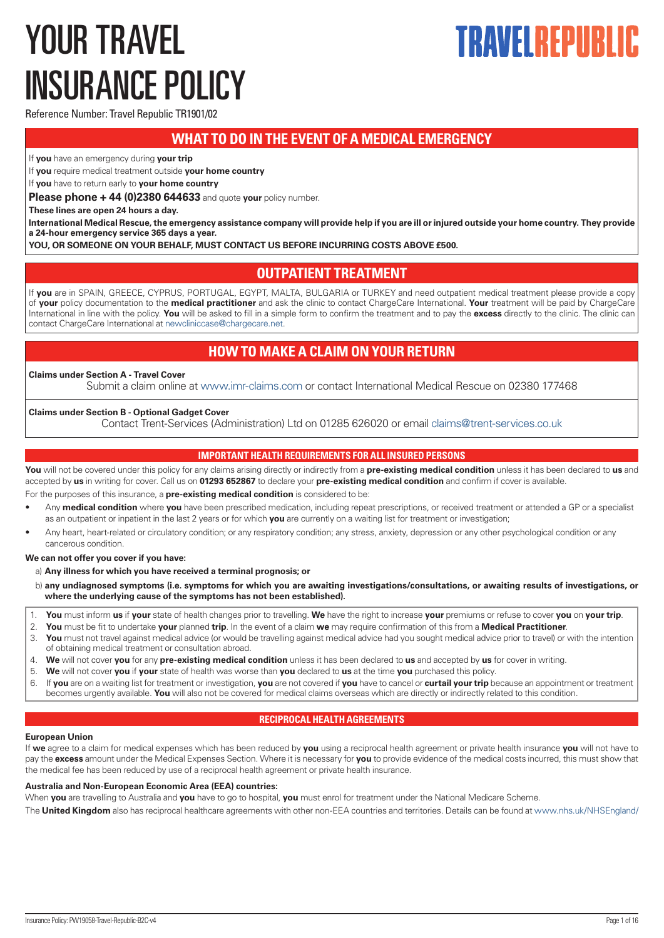# <span id="page-0-0"></span>YOUR TRAVEL INSURANCE POLICY

# TRAVEI REPIIRI

Reference Number: Travel Republic TR1901/02

# **WHAT TO DO IN THE EVENT OF A MEDICAL EMERGENCY**

If **you** have an emergency during **your trip**

If **you** require medical treatment outside **your home country**

If **you** have to return early to **your home country**

**Please phone + 44 (0)2380 644633** and quote **your** policy number.

**These lines are open 24 hours a day.** 

**International Medical Rescue, the emergency assistance company will provide help if you are ill or injured outside your home country. They provide a 24-hour emergency service 365 days a year.**

**YOU, OR SOMEONE ON YOUR BEHALF, MUST CONTACT US BEFORE INCURRING COSTS ABOVE £500.**

# **OUTPATIENT TREATMENT**

If **you** are in SPAIN, GREECE, CYPRUS, PORTUGAL, EGYPT, MALTA, BULGARIA or TURKEY and need outpatient medical treatment please provide a copy of **your** policy documentation to the **medical practitioner** and ask the clinic to contact ChargeCare International. **Your** treatment will be paid by ChargeCare International in line with the policy. **You** will be asked to fill in a simple form to confirm the treatment and to pay the **excess** directly to the clinic. The clinic can contact ChargeCare International at [newcliniccase@chargecare.net](mailto:newcliniccase@chargecare.net).

# **HOW TO MAKE A CLAIM ON YOUR RETURN**

# **Claims under Section A - Travel Cover**

Submit a claim online at [www.imr-claims.com](http://www.imr-claims.com) or contact International Medical Rescue on 02380 177468

# **Claims under Section B - Optional Gadget Cover**

Contact Trent-Services (Administration) Ltd on 01285 626020 or email [claims@trent-services.co.uk](mailto:claims@trent-services.co.uk)

# **IMPORTANT HEALTH REQUIREMENTS FOR ALL INSURED PERSONS**

**You** will not be covered under this policy for any claims arising directly or indirectly from a **pre-existing medical condition** unless it has been declared to **us** and accepted by **us** in writing for cover. Call us on **01293 652867** to declare your **pre-existing medical condition** and confirm if cover is available.

For the purposes of this insurance, a **pre-existing medical condition** is considered to be:

- Any **medical condition** where **you** have been prescribed medication, including repeat prescriptions, or received treatment or attended a GP or a specialist as an outpatient or inpatient in the last 2 years or for which **you** are currently on a waiting list for treatment or investigation;
- Any heart, heart-related or circulatory condition; or any respiratory condition; any stress, anxiety, depression or any other psychological condition or any cancerous condition.

# **We can not offer you cover if you have:**

a) **Any illness for which you have received a terminal prognosis; or**

- b) **any undiagnosed symptoms (i.e. symptoms for which you are awaiting investigations/consultations, or awaiting results of investigations, or where the underlying cause of the symptoms has not been established).**
- 1. **You** must inform **us** if **your** state of health changes prior to travelling. **We** have the right to increase **your** premiums or refuse to cover **you** on **your trip**.
- 2. **You** must be fit to undertake **your** planned **trip**. In the event of a claim **we** may require confirmation of this from a **Medical Practitioner**.
- 3. **You** must not travel against medical advice (or would be travelling against medical advice had you sought medical advice prior to travel) or with the intention of obtaining medical treatment or consultation abroad.
- 4. **We** will not cover **you** for any **pre-existing medical condition** unless it has been declared to **us** and accepted by **us** for cover in writing.
- 5. **We** will not cover **you** if **your** state of health was worse than **you** declared to **us** at the time **you** purchased this policy.
- 6. If **you** are on a waiting list for treatment or investigation, **you** are not covered if **you** have to cancel or **curtail your trip** because an appointment or treatment becomes urgently available. **You** will also not be covered for medical claims overseas which are directly or indirectly related to this condition.

# **RECIPROCAL HEALTH AGREEMENTS**

# **European Union**

If **we** agree to a claim for medical expenses which has been reduced by **you** using a reciprocal health agreement or private health insurance **you** will not have to pay the **excess** amount under the Medical Expenses Section. Where it is necessary for **you** to provide evidence of the medical costs incurred, this must show that the medical fee has been reduced by use of a reciprocal health agreement or private health insurance.

# **Australia and Non-European Economic Area (EEA) countries:**

When **you** are travelling to Australia and **you** have to go to hospital, **you** must enrol for treatment under the National Medicare Scheme.

The **United Kingdom** also has reciprocal healthcare agreements with other non-EEA countries and territories. Details can be found at [www.nhs.uk/NHSEngland/](http://www.nhs.uk/NHSEngland/)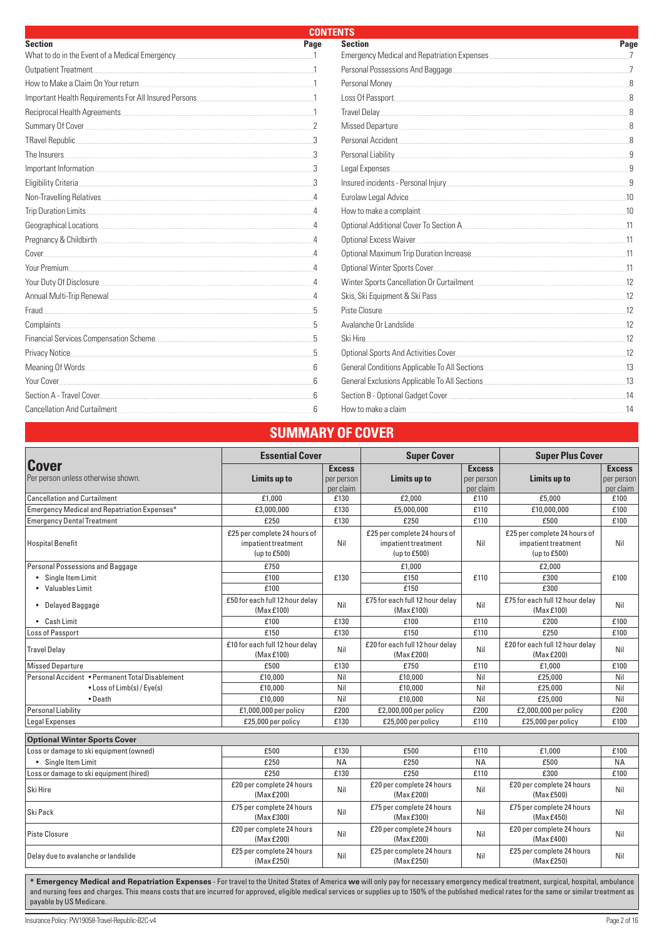| <b>CONTENTS</b>                                                                                                                                                                                                                |          |                                           |      |
|--------------------------------------------------------------------------------------------------------------------------------------------------------------------------------------------------------------------------------|----------|-------------------------------------------|------|
| <b>Section</b>                                                                                                                                                                                                                 | Page     | <b>Section</b>                            | Page |
| What to do in the Event of a Medical Emergency                                                                                                                                                                                 |          |                                           |      |
| Outpatient Treatment                                                                                                                                                                                                           |          | Personal Possessions And Baggage          |      |
| How to Make a Claim On Your return                                                                                                                                                                                             |          |                                           |      |
| Important Health Requirements For All Insured Persons                                                                                                                                                                          |          | Loss Of Passport                          |      |
| Reciprocal Health Agreements                                                                                                                                                                                                   |          |                                           |      |
| Summary Of Cover experience of the contract of the contract of the contract of the contract of the contract of                                                                                                                 |          |                                           |      |
| TRavel Republic                                                                                                                                                                                                                |          | Personal Accident                         |      |
| The Insurers                                                                                                                                                                                                                   |          |                                           |      |
|                                                                                                                                                                                                                                |          | Legal Expenses                            |      |
| Eligibility Criteria                                                                                                                                                                                                           |          |                                           |      |
| Non-Travelling Relatives                                                                                                                                                                                                       |          | Eurolaw Legal Advice                      |      |
| Trip Duration Limits                                                                                                                                                                                                           |          | How to make a complaint                   | 10   |
| Geographical Locations                                                                                                                                                                                                         |          | Optional Additional Cover To Section A    |      |
| Pregnancy & Childbirth                                                                                                                                                                                                         |          | <b>Optional Excess Waiver</b>             |      |
| Cover                                                                                                                                                                                                                          | $\Delta$ |                                           | 11   |
| Your Premium                                                                                                                                                                                                                   |          |                                           |      |
| Your Duty Of Disclosure                                                                                                                                                                                                        |          | Winter Sports Cancellation Or Curtailment |      |
| Annual Multi-Trip Renewal                                                                                                                                                                                                      |          | Skis, Ski Equipment & Ski Pass            | 12   |
| Fraud.                                                                                                                                                                                                                         |          | Piste Closure                             |      |
| Complaints                                                                                                                                                                                                                     |          | Avalanche Or Landslide                    |      |
| Financial Services Compensation Scheme                                                                                                                                                                                         |          | Ski Hire.                                 |      |
| Privacy Notice                                                                                                                                                                                                                 |          | Optional Sports And Activities Cover      |      |
| Meaning Of Words. The Contract of the Contract of Words and The Contract of Words and The Contract of The Contract of The Contract of The Contract of The Contract of The Contract of The Contract of The Contract of The Cont |          |                                           |      |
| Your Cover                                                                                                                                                                                                                     |          |                                           | 13   |
| Section A - Travel Cover                                                                                                                                                                                                       |          |                                           |      |
| Cancellation And Curtailment                                                                                                                                                                                                   |          | How to make a claim                       |      |

# **SUMMARY OF COVER**

|                                                    | <b>Essential Cover</b>                                              |                                          | <b>Super Cover</b>                                                  |                                          | <b>Super Plus Cover</b>                                             |                                          |
|----------------------------------------------------|---------------------------------------------------------------------|------------------------------------------|---------------------------------------------------------------------|------------------------------------------|---------------------------------------------------------------------|------------------------------------------|
| <b>Cover</b><br>Per person unless otherwise shown. | Limits up to                                                        | <b>Excess</b><br>per person<br>per claim | Limits up to                                                        | <b>Excess</b><br>per person<br>per claim | Limits up to                                                        | <b>Excess</b><br>per person<br>per claim |
| Cancellation and Curtailment                       | £1.000                                                              | £130                                     | £2.000                                                              | £110                                     | £5.000                                                              | £100                                     |
| Emergency Medical and Repatriation Expenses*       | £3.000.000                                                          | £130                                     | £5,000,000                                                          | £110                                     | £10.000.000                                                         | £100                                     |
| <b>Emergency Dental Treatment</b>                  | £250                                                                | £130                                     | £250                                                                | £110                                     | £500                                                                | £100                                     |
| Hospital Benefit                                   | £25 per complete 24 hours of<br>impatient treatment<br>(up to £500) | Nil                                      | £25 per complete 24 hours of<br>impatient treatment<br>(up to £500) | Nil                                      | £25 per complete 24 hours of<br>impatient treatment<br>(up to £500) | Nil                                      |
| Personal Possessions and Baggage                   | £750                                                                |                                          | £1,000                                                              |                                          | £2,000                                                              |                                          |
| • Single Item Limit                                | £100                                                                | £130                                     | £150                                                                | £110                                     | £300                                                                | £100                                     |
| • Valuables Limit                                  | £100                                                                |                                          | £150                                                                |                                          | £300                                                                |                                          |
| • Delayed Baggage                                  | £50 for each full 12 hour delay<br>(Max £100)                       | Nil                                      | £75 for each full 12 hour delay<br>(Max £100)                       | Nil                                      | £75 for each full 12 hour delay<br>(Max £100)                       | Nil                                      |
| • Cash Limit                                       | £100                                                                | £130                                     | £100                                                                | £110                                     | £200                                                                | £100                                     |
| <b>Loss of Passport</b>                            | £150                                                                | £130                                     | £150                                                                | £110                                     | £250                                                                | £100                                     |
| <b>Travel Delay</b>                                | £10 for each full 12 hour delay<br>(Max £100)                       | Nil                                      | £20 for each full 12 hour delay<br>(Max £200)                       | Nil                                      | £20 for each full 12 hour delay<br>(Max £200)                       | Nil                                      |
| Missed Departure                                   | £500                                                                | £130                                     | £750                                                                | £110                                     | £1.000                                                              | £100                                     |
| Personal Accident • Permanent Total Disablement    | £10,000                                                             | Nil                                      | £10,000                                                             | Nil                                      | £25,000                                                             | Nil                                      |
| • Loss of Limb(s) / Eye(s)                         | £10.000                                                             | Nil                                      | £10.000                                                             | Nil                                      | £25.000                                                             | Nil                                      |
| • Death                                            | £10.000                                                             | Nil                                      | £10,000                                                             | Nil                                      | £25.000                                                             | Nil                                      |
| <b>Personal Liability</b>                          | £1,000,000 per policy                                               | £200                                     | £2,000,000 per policy                                               | £200                                     | £2,000,000 per policy                                               | £200                                     |
| <b>Legal Expenses</b>                              | £25,000 per policy                                                  | £130                                     | £25,000 per policy                                                  | £110                                     | £25,000 per policy                                                  | £100                                     |
| <b>Optional Winter Sports Cover</b>                |                                                                     |                                          |                                                                     |                                          |                                                                     |                                          |
| Loss or damage to ski equipment (owned)            | £500                                                                | £130                                     | £500                                                                | £110                                     | £1,000                                                              | £100                                     |
| • Single Item Limit                                | £250                                                                | <b>NA</b>                                | £250                                                                | <b>NA</b>                                | £500                                                                | <b>NA</b>                                |
| Loss or damage to ski equipment (hired)            | £250                                                                | £130                                     | £250                                                                | £110                                     | £300                                                                | £100                                     |
| Ski Hire                                           | £20 per complete 24 hours<br>(Max £200)                             | Nil                                      | £20 per complete 24 hours<br>(Max £200)                             | Nil                                      | £20 per complete 24 hours<br>(MaxE500)                              | Nil                                      |
| Ski Pack                                           | £75 per complete 24 hours<br>(Max £300)                             | Nil                                      | £75 per complete 24 hours<br>(Max £300)                             | Nil                                      | £75 per complete 24 hours<br>(Max £450)                             | Nil                                      |
| <b>Piste Closure</b>                               | £20 per complete 24 hours<br>(MaxE200)                              | Nil                                      | £20 per complete 24 hours<br>(MaxE200)                              | Nil                                      | £20 per complete 24 hours<br>(MaxE400)                              | Nil                                      |
| Delay due to avalanche or landslide                | £25 per complete 24 hours<br>(Max £250)                             | Nil                                      | £25 per complete 24 hours<br>(Max£250)                              | Nil                                      | £25 per complete 24 hours<br>(Max £250)                             | Nil                                      |

**\* Emergency Medical and Repatriation Expenses** - For travel to the United States of America **we** will only pay for necessary emergency medical treatment, surgical, hospital, ambulance and nursing fees and charges. This means costs that are incurred for approved, eligible medical services or supplies up to 150% of the published medical rates for the same or similar treatment as payable by US Medicare.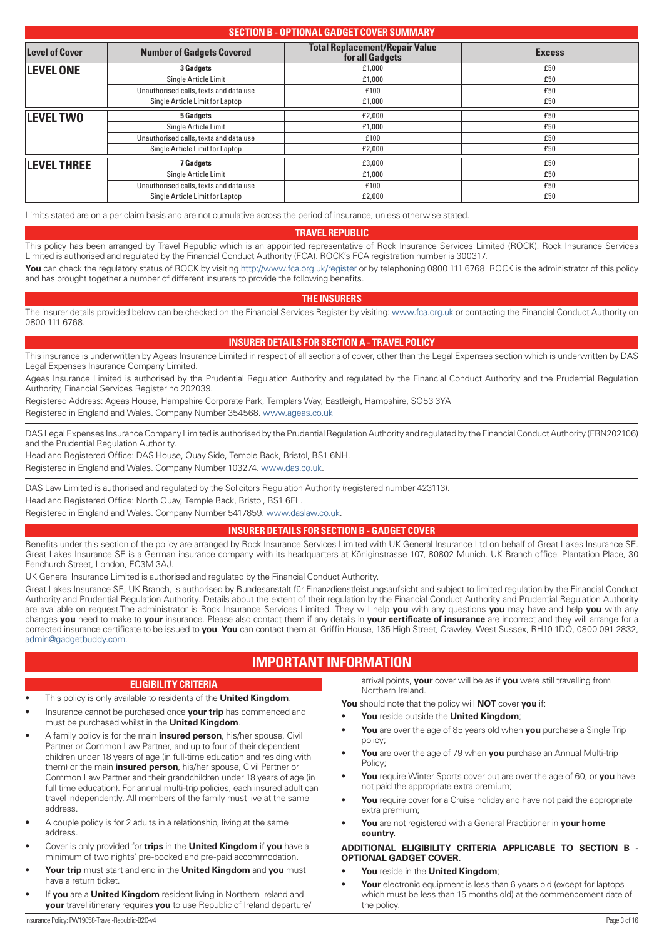# <span id="page-2-0"></span>**SECTION B - OPTIONAL GADGET COVER SUMMARY Level of Cover Number of Gadgets Covered Total Replacement/Repair Value**  For all Gadgets<br>  $f(t) = 1,000$ <br> **Excess**<br>  $f(t) = 1,000$ <br> **Excess LEVEL ONE** 3 Gadgets **2008 1000 1500 1500 1500** Single Article Limit **Example Article Limit**  $f(1,000)$  **Example Article Limit E50** Unauthorised calls, texts and data use  $\qquad \qquad$  £100  $\qquad \qquad$  £100  $\qquad \qquad$  £50  $\qquad \qquad$  £50  $\qquad \qquad$  £50  $\qquad \qquad$  £50  $\qquad \qquad$  £50  $\qquad \qquad$  £50  $\qquad \qquad$  £50  $\qquad \qquad$  £50  $\qquad \qquad$  £50  $\qquad \qquad$  £50  $\qquad \qquad$  £50  $\qquad \qquad$  £50 Single Article Limit for Laptop **E1,000** £1,000 £50 **LEVEL TWO** 5 Gadgets 5 Galuets **5 Gadgets 1999** Single Article Limit **Example 2 Example 2 Example 2 Example 2 Example 2 E50** Unauthorised calls, texts and data use **E100 E100 E100 E100 E100 E100 E100 E100 E100 E100 E100 E100 E100 E100 E100 E100 E100 E100 E100 E100 E100 E100 E100 E100 E100 E100** Single Article Limit for Laptop **EXECUTE:**  $\frac{2,000}{2}$  **EXECUTE:**  $\frac{2,000}{2}$  **EXECUTE:**  $\frac{250}{2}$ **LEVEL THREE** *TGadgets CO<sub>2</sub> ESQUEL THREE ESQUEL THREE <i>ESQUEL* **ESQUEL ESQUEL** Single Article Limit **Example Article Limit**  $f(0,00)$  **E50** Unauthorised calls, texts and data use **E100** £50 Single Article Limit for Laptop **EXALL 2000** £50

Limits stated are on a per claim basis and are not cumulative across the period of insurance, unless otherwise stated.

# **TRAVEL REPUBLIC**

This policy has been arranged by Travel Republic which is an appointed representative of Rock Insurance Services Limited (ROCK). Rock Insurance Services Limited is authorised and regulated by the Financial Conduct Authority (FCA). ROCK's FCA registration number is 300317.

**You** can check the regulatory status of ROCK by visiting <http://www.fca.org.uk/register> or by telephoning 0800 111 6768. ROCK is the administrator of this policy and has brought together a number of different insurers to provide the following benefits.

# **THE INSURERS**

The insurer details provided below can be checked on the Financial Services Register by visiting: [www.fca.org.uk](http://www.fca.org.uk) or contacting the Financial Conduct Authority on 0800 111 6768.

# **INSURER DETAILS FOR SECTION A - TRAVEL POLICY**

This insurance is underwritten by Ageas Insurance Limited in respect of all sections of cover, other than the Legal Expenses section which is underwritten by DAS Legal Expenses Insurance Company Limited.

Ageas Insurance Limited is authorised by the Prudential Regulation Authority and regulated by the Financial Conduct Authority and the Prudential Regulation Authority, Financial Services Register no 202039.

Registered Address: Ageas House, Hampshire Corporate Park, Templars Way, Eastleigh, Hampshire, SO53 3YA

Registered in England and Wales. Company Number 354568. [www.ageas.co.uk](http://www.ageas.co.uk)

DAS Legal Expenses Insurance Company Limited is authorised by the Prudential Regulation Authority and regulated by the Financial Conduct Authority (FRN202106) and the Prudential Regulation Authority.

Head and Registered Office: DAS House, Quay Side, Temple Back, Bristol, BS1 6NH.

Registered in England and Wales. Company Number 103274. [www.das.co.uk](http://www.das.co.uk).

DAS Law Limited is authorised and regulated by the Solicitors Regulation Authority (registered number 423113).

Head and Registered Office: North Quay, Temple Back, Bristol, BS1 6FL.

Registered in England and Wales. Company Number 5417859. [www.daslaw.co.uk](http://www.daslaw.co.uk).

# **INSURER DETAILS FOR SECTION B - GADGET COVER**

Benefits under this section of the policy are arranged by Rock Insurance Services Limited with UK General Insurance Ltd on behalf of Great Lakes Insurance SE. Great Lakes Insurance SE is a German insurance company with its headquarters at Königinstrasse 107, 80802 Munich. UK Branch office: Plantation Place, 30 Fenchurch Street, London, EC3M 3AJ.

UK General Insurance Limited is authorised and regulated by the Financial Conduct Authority.

Great Lakes Insurance SE, UK Branch, is authorised by Bundesanstalt für Finanzdienstleistungsaufsicht and subject to limited regulation by the Financial Conduct Authority and Prudential Regulation Authority. Details about the extent of their regulation by the Financial Conduct Authority and Prudential Regulation Authority are available on request.The administrator is Rock Insurance Services Limited. They will help **you** with any questions **you** may have and help **you** with any changes **you** need to make to **your** insurance. Please also contact them if any details in **your certificate of insurance** are incorrect and they will arrange for a corrected insurance certificate to be issued to **you**. **You** can contact them at: Griffin House, 135 High Street, Crawley, West Sussex, RH10 1DQ, 0800 091 2832, [admin@gadgetbuddy.com](mailto:admin@gadgetbuddy.com).

# **IMPORTANT INFORMATION**

# **ELIGIBILITY CRITERIA**

## • This policy is only available to residents of the **United Kingdom**.

- Insurance cannot be purchased once **your trip** has commenced and must be purchased whilst in the **United Kingdom**.
- A family policy is for the main **insured person**, his/her spouse, Civil Partner or Common Law Partner, and up to four of their dependent children under 18 years of age (in full-time education and residing with them) or the main **insured person**, his/her spouse, Civil Partner or Common Law Partner and their grandchildren under 18 years of age (in full time education). For annual multi-trip policies, each insured adult can travel independently. All members of the family must live at the same address.
- A couple policy is for 2 adults in a relationship, living at the same address.
- Cover is only provided for **trips** in the **United Kingdom** if **you** have a minimum of two nights' pre-booked and pre-paid accommodation.
- **Your trip** must start and end in the **United Kingdom** and **you** must have a return ticket.
- If **you** are a **United Kingdom** resident living in Northern Ireland and **your** travel itinerary requires **you** to use Republic of Ireland departure/

arrival points, **your** cover will be as if **you** were still travelling from Northern Ireland.

**You** should note that the policy will **NOT** cover **you** if:

- **You** reside outside the **United Kingdom**;
- **You** are over the age of 85 years old when **you** purchase a Single Trip policy;
- **You** are over the age of 79 when **you** purchase an Annual Multi-trip Policy;
- **You** require Winter Sports cover but are over the age of 60, or **you** have not paid the appropriate extra premium;
- **You** require cover for a Cruise holiday and have not paid the appropriate extra premium;
- **You** are not registered with a General Practitioner in **your home country**.

## **ADDITIONAL ELIGIBILITY CRITERIA APPLICABLE TO SECTION B - OPTIONAL GADGET COVER.**

- **You** reside in the **United Kingdom**;
- **Your** electronic equipment is less than 6 years old (except for laptops which must be less than 15 months old) at the commencement date of the policy.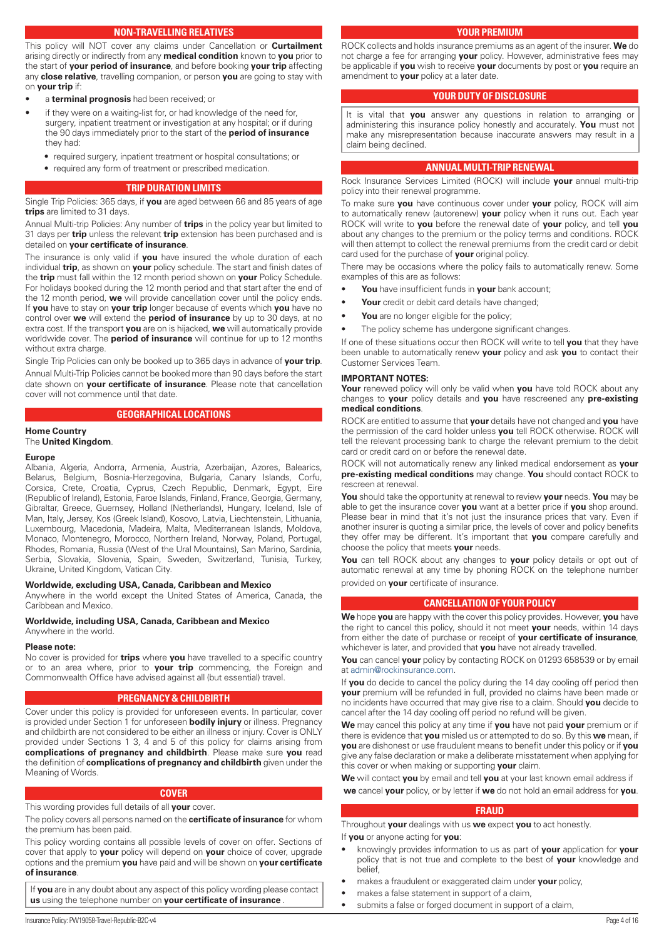# **NON-TRAVELLING RELATIVES**

<span id="page-3-0"></span>This policy will NOT cover any claims under Cancellation or **Curtailment** arising directly or indirectly from any **medical condition** known to **you** prior to the start of **your period of insurance**, and before booking **your trip** affecting any **close relative**, travelling companion, or person **you** are going to stay with on **your trip** if:

- a **terminal prognosis** had been received; or
- if they were on a waiting-list for, or had knowledge of the need for, surgery, inpatient treatment or investigation at any hospital; or if during the 90 days immediately prior to the start of the **period of insurance** they had:
	- required surgery, inpatient treatment or hospital consultations; or
	- required any form of treatment or prescribed medication.

## **TRIP DURATION LIMITS**

Single Trip Policies: 365 days, if **you** are aged between 66 and 85 years of age **trips** are limited to 31 days.

Annual Multi-trip Policies: Any number of **trips** in the policy year but limited to 31 days per **trip** unless the relevant **trip** extension has been purchased and is detailed on **your certificate of insurance**.

The insurance is only valid if **you** have insured the whole duration of each individual **trip**, as shown on **your** policy schedule. The start and finish dates of the **trip** must fall within the 12 month period shown on **your** Policy Schedule. For holidays booked during the 12 month period and that start after the end of the 12 month period, **we** will provide cancellation cover until the policy ends. If **you** have to stay on **your trip** longer because of events which **you** have no control over **we** will extend the **period of insurance** by up to 30 days, at no extra cost. If the transport **you** are on is hijacked, **we** will automatically provide worldwide cover. The **period of insurance** will continue for up to 12 months without extra charge.

Single Trip Policies can only be booked up to 365 days in advance of **your trip**. Annual Multi-Trip Policies cannot be booked more than 90 days before the start date shown on **your certificate of insurance**. Please note that cancellation cover will not commence until that date.

## **GEOGRAPHICAL LOCATIONS**

# **Home Country**

# The **United Kingdom**.

# **Europe**

Albania, Algeria, Andorra, Armenia, Austria, Azerbaijan, Azores, Balearics, Belarus, Belgium, Bosnia-Herzegovina, Bulgaria, Canary Islands, Corfu, Corsica, Crete, Croatia, Cyprus, Czech Republic, Denmark, Egypt, Eire (Republic of Ireland), Estonia, Faroe Islands, Finland, France, Georgia, Germany, Gibraltar, Greece, Guernsey, Holland (Netherlands), Hungary, Iceland, Isle of Man, Italy, Jersey, Kos (Greek Island), Kosovo, Latvia, Liechtenstein, Lithuania, Luxembourg, Macedonia, Madeira, Malta, Mediterranean Islands, Moldova, Monaco, Montenegro, Morocco, Northern Ireland, Norway, Poland, Portugal, Rhodes, Romania, Russia (West of the Ural Mountains), San Marino, Sardinia, Serbia, Slovakia, Slovenia, Spain, Sweden, Switzerland, Tunisia, Turkey, Ukraine, United Kingdom, Vatican City.

#### **Worldwide, excluding USA, Canada, Caribbean and Mexico**

Anywhere in the world except the United States of America, Canada, the Caribbean and Mexico.

# **Worldwide, including USA, Canada, Caribbean and Mexico**

Anywhere in the world.

#### **Please note:**

No cover is provided for **trips** where **you** have travelled to a specific country or to an area where, prior to **your trip** commencing, the Foreign and Commonwealth Office have advised against all (but essential) travel.

## **PREGNANCY & CHILDBIRTH**

Cover under this policy is provided for unforeseen events. In particular, cover is provided under Section 1 for unforeseen **bodily injury** or illness. Pregnancy and childbirth are not considered to be either an illness or injury. Cover is ONLY provided under Sections 1 3, 4 and 5 of this policy for claims arising from **complications of pregnancy and childbirth**. Please make sure **you** read the definition of **complications of pregnancy and childbirth** given under the Meaning of Words.

#### **COVER**

This wording provides full details of all **your** cover.

The policy covers all persons named on the **certificate of insurance** for whom the premium has been paid.

This policy wording contains all possible levels of cover on offer. Sections of cover that apply to **your** policy will depend on **your** choice of cover, upgrade options and the premium **you** have paid and will be shown on **your certificate** 

## **of insurance**.

If **you** are in any doubt about any aspect of this policy wording please contact **us** using the telephone number on **your certificate of insurance** .

ROCK collects and holds insurance premiums as an agent of the insurer. **We** do not charge a fee for arranging **your** policy. However, administrative fees may be applicable if **you** wish to receive **your** documents by post or **you** require an amendment to **your** policy at a later date.

#### **YOUR DUTY OF DISCLOSURE**

It is vital that **you** answer any questions in relation to arranging or administering this insurance policy honestly and accurately. **You** must not make any misrepresentation because inaccurate answers may result in a claim being declined.

## **ANNUAL MULTI-TRIP RENEWAL**

Rock Insurance Services Limited (ROCK) will include **your** annual multi-trip policy into their renewal programme.

To make sure **you** have continuous cover under **your** policy, ROCK will aim to automatically renew (autorenew) **your** policy when it runs out. Each year ROCK will write to **you** before the renewal date of **your** policy, and tell **you** about any changes to the premium or the policy terms and conditions. ROCK will then attempt to collect the renewal premiums from the credit card or debit card used for the purchase of **your** original policy.

There may be occasions where the policy fails to automatically renew. Some examples of this are as follows:

- **You** have insufficient funds in **your** bank account;
- Your credit or debit card details have changed;
- You are no longer eligible for the policy;
- The policy scheme has undergone significant changes.

If one of these situations occur then ROCK will write to tell **you** that they have been unable to automatically renew **your** policy and ask **you** to contact their Customer Services Team.

#### **IMPORTANT NOTES:**

**Your** renewed policy will only be valid when **you** have told ROCK about any changes to **your** policy details and **you** have rescreened any **pre-existing medical conditions**.

ROCK are entitled to assume that **your** details have not changed and **you** have the permission of the card holder unless **you** tell ROCK otherwise. ROCK will tell the relevant processing bank to charge the relevant premium to the debit card or credit card on or before the renewal date.

ROCK will not automatically renew any linked medical endorsement as **your pre-existing medical conditions** may change. **You** should contact ROCK to rescreen at renewal.

**You** should take the opportunity at renewal to review **your** needs. **You** may be able to get the insurance cover **you** want at a better price if **you** shop around. Please bear in mind that it's not just the insurance prices that vary. Even if another insurer is quoting a similar price, the levels of cover and policy benefits they offer may be different. It's important that **you** compare carefully and choose the policy that meets **your** needs.

**You** can tell ROCK about any changes to **your** policy details or opt out of automatic renewal at any time by phoning ROCK on the telephone number provided on **your** certificate of insurance.

## **CANCELLATION OF YOUR POLICY**

**We** hope **you** are happy with the cover this policy provides. However, **you** have the right to cancel this policy, should it not meet **your** needs, within 14 days from either the date of purchase or receipt of **your certificate of insurance**, whichever is later, and provided that **you** have not already travelled.

**You** can cancel **your** policy by contacting ROCK on 01293 658539 or by email at [admin@rockinsurance.com](mailto:admin@rockinsurance.com).

If **you** do decide to cancel the policy during the 14 day cooling off period then **your** premium will be refunded in full, provided no claims have been made or no incidents have occurred that may give rise to a claim. Should **you** decide to cancel after the 14 day cooling off period no refund will be given.

**We** may cancel this policy at any time if **you** have not paid **your** premium or if there is evidence that **you** misled us or attempted to do so. By this **we** mean, if **you** are dishonest or use fraudulent means to benefit under this policy or if **you** give any false declaration or make a deliberate misstatement when applying for this cover or when making or supporting **your** claim.

**We** will contact **you** by email and tell **you** at your last known email address if **we** cancel **your** policy, or by letter if **we** do not hold an email address for **you**.

# **FRAUD**

Throughout **your** dealings with us **we** expect **you** to act honestly.

- If **you** or anyone acting for **you**:
- knowingly provides information to us as part of **your** application for **your** policy that is not true and complete to the best of **your** knowledge and belief,
- makes a fraudulent or exaggerated claim under **your** policy,
- makes a false statement in support of a claim,
- submits a false or forged document in support of a claim,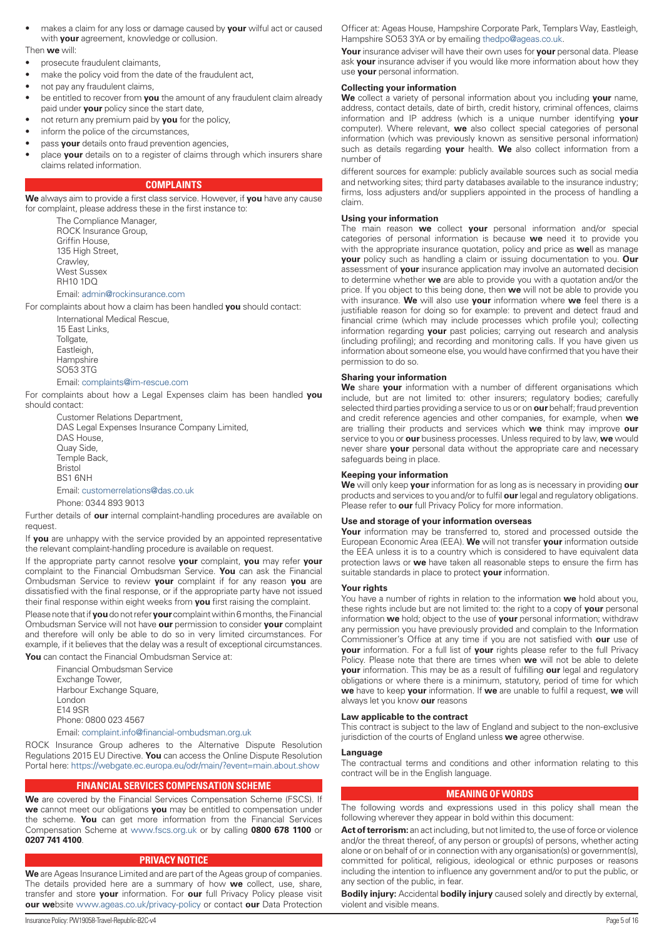<span id="page-4-0"></span>• makes a claim for any loss or damage caused by **your** wilful act or caused with **your** agreement, knowledge or collusion.

#### Then **we** will:

- prosecute fraudulent claimants,
- make the policy void from the date of the fraudulent act,
- not pay any fraudulent claims,
- be entitled to recover from **you** the amount of any fraudulent claim already paid under **your** policy since the start date,
- not return any premium paid by **you** for the policy,
- inform the police of the circumstances.
- pass **your** details onto fraud prevention agencies,
- place **your** details on to a register of claims through which insurers share claims related information.

# **COMPLAINTS**

**We** always aim to provide a first class service. However, if **you** have any cause for complaint, please address these in the first instance to:

> The Compliance Manager, ROCK Insurance Group, Griffin House, 135 High Street, Crawley, West Sussex RH10 1DQ

# Email: [admin@rockinsurance.com](mailto:admin@rockinsurance.com)

For complaints about how a claim has been handled **you** should contact:

International Medical Rescue, 15 East Links, Tollgate, Eastleigh, **Hampshire** SO53 3TG

#### Email: [complaints@im-rescue.com](mailto:complaints@im-rescue.com)

For complaints about how a Legal Expenses claim has been handled **you** should contact:

Customer Relations Department, DAS Legal Expenses Insurance Company Limited, DAS House, Quay Side, Temple Back, Bristol BS1 6NH Email: [customerrelations@das.co.uk](mailto:customerrelations@das.co.uk)

Phone: 0344 893 9013

Further details of **our** internal complaint-handling procedures are available on request.

If **you** are unhappy with the service provided by an appointed representative the relevant complaint-handling procedure is available on request.

If the appropriate party cannot resolve **your** complaint, **you** may refer **your** complaint to the Financial Ombudsman Service. **You** can ask the Financial Ombudsman Service to review **your** complaint if for any reason **you** are dissatisfied with the final response, or if the appropriate party have not issued their final response within eight weeks from **you** first raising the complaint.

Please note that if **you** do not refer **your** complaint within 6 months, the Financial Ombudsman Service will not have **our** permission to consider **your** complaint and therefore will only be able to do so in very limited circumstances. For example, if it believes that the delay was a result of exceptional circumstances.

**You** can contact the Financial Ombudsman Service at:

Financial Ombudsman Service Exchange Tower, Harbour Exchange Square, London E14 9SR Phone: 0800 023 4567

Email: [complaint.info@financial-ombudsman.org.uk](mailto:complaint.info@financial-ombudsman.org.uk)

ROCK Insurance Group adheres to the Alternative Dispute Resolution Regulations 2015 EU Directive. **You** can access the Online Dispute Resolution Portal here: <https://webgate.ec.europa.eu/odr/main/?event=main.about.show>

# **FINANCIAL SERVICES COMPENSATION SCHEME**

**We** are covered by the Financial Services Compensation Scheme (FSCS). If **we** cannot meet our obligations **you** may be entitled to compensation under the scheme. **You** can get more information from the Financial Services Compensation Scheme at [www.fscs.org.uk](http://www.fscs.org.uk) or by calling **0800 678 1100** or **0207 741 4100**.

# **PRIVACY NOTICE**

**We** are Ageas Insurance Limited and are part of the Ageas group of companies. The details provided here are a summary of how **we** collect, use, share, transfer and store **your** information. For **our** full Privacy Policy please visit **our we**bsite [www.ageas.co.uk/privacy-policy](http://www.ageas.co.uk/privacy-policy) or contact **our** Data Protection

Officer at: Ageas House, Hampshire Corporate Park, Templars Way, Eastleigh, Hampshire SO53 3YA or by emailing [thedpo@ageas.co.uk](mailto:thedpo@ageas.co.uk).

**Your** insurance adviser will have their own uses for **your** personal data. Please ask **your** insurance adviser if you would like more information about how they use **your** personal information.

#### **Collecting your information**

**We** collect a variety of personal information about you including **your** name, address, contact details, date of birth, credit history, criminal offences, claims information and IP address (which is a unique number identifying **your** computer). Where relevant, **we** also collect special categories of personal information (which was previously known as sensitive personal information) such as details regarding **your** health. **We** also collect information from a number of

different sources for example: publicly available sources such as social media and networking sites; third party databases available to the insurance industry; firms, loss adjusters and/or suppliers appointed in the process of handling a claim.

#### **Using your information**

The main reason **we** collect **your** personal information and/or special categories of personal information is because **we** need it to provide you with the appropriate insurance quotation, policy and price as **we**ll as manage **your** policy such as handling a claim or issuing documentation to you. **Our** assessment of **your** insurance application may involve an automated decision to determine whether **we** are able to provide you with a quotation and/or the price. If you object to this being done, then **we** will not be able to provide you with insurance. **We** will also use **your** information where **we** feel there is a justifiable reason for doing so for example: to prevent and detect fraud and financial crime (which may include processes which profile you); collecting information regarding **your** past policies; carrying out research and analysis (including profiling); and recording and monitoring calls. If you have given us information about someone else, you would have confirmed that you have their permission to do so.

# **Sharing your information**

**We** share **your** information with a number of different organisations which include, but are not limited to: other insurers; regulatory bodies; carefully selected third parties providing a service to us or on **our** behalf; fraud prevention and credit reference agencies and other companies, for example, when **we** are trialling their products and services which **we** think may improve **our** service to you or **our** business processes. Unless required to by law, **we** would never share **your** personal data without the appropriate care and necessary safeguards being in place.

# **Keeping your information**

**We** will only keep **your** information for as long as is necessary in providing **our** products and services to you and/or to fulfil **our** legal and regulatory obligations. Please refer to **our** full Privacy Policy for more information.

## **Use and storage of your information overseas**

**Your** information may be transferred to, stored and processed outside the European Economic Area (EEA). **We** will not transfer **your** information outside the EEA unless it is to a country which is considered to have equivalent data protection laws or **we** have taken all reasonable steps to ensure the firm has suitable standards in place to protect **your** information.

#### **Your rights**

You have a number of rights in relation to the information **we** hold about you, these rights include but are not limited to: the right to a copy of **your** personal information **we** hold; object to the use of **your** personal information; withdraw any permission you have previously provided and complain to the Information Commissioner's Office at any time if you are not satisfied with **our** use of **your** information. For a full list of **your** rights please refer to the full Privacy Policy. Please note that there are times when **we** will not be able to delete **your** information. This may be as a result of fulfilling **our** legal and regulatory obligations or where there is a minimum, statutory, period of time for which **we** have to keep **your** information. If **we** are unable to fulfil a request, **we** will always let you know **our** reasons

#### **Law applicable to the contract**

This contract is subject to the law of England and subject to the non-exclusive jurisdiction of the courts of England unless **we** agree otherwise.

#### **Language**

The contractual terms and conditions and other information relating to this contract will be in the English language.

#### **MEANING OF WORDS**

The following words and expressions used in this policy shall mean the following wherever they appear in bold within this document:

Act of terrorism: an act including, but not limited to, the use of force or violence and/or the threat thereof, of any person or group(s) of persons, whether acting alone or on behalf of or in connection with any organisation(s) or government(s), committed for political, religious, ideological or ethnic purposes or reasons including the intention to influence any government and/or to put the public, or any section of the public, in fear.

**Bodily injury:** Accidental **bodily injury** caused solely and directly by external, violent and visible means.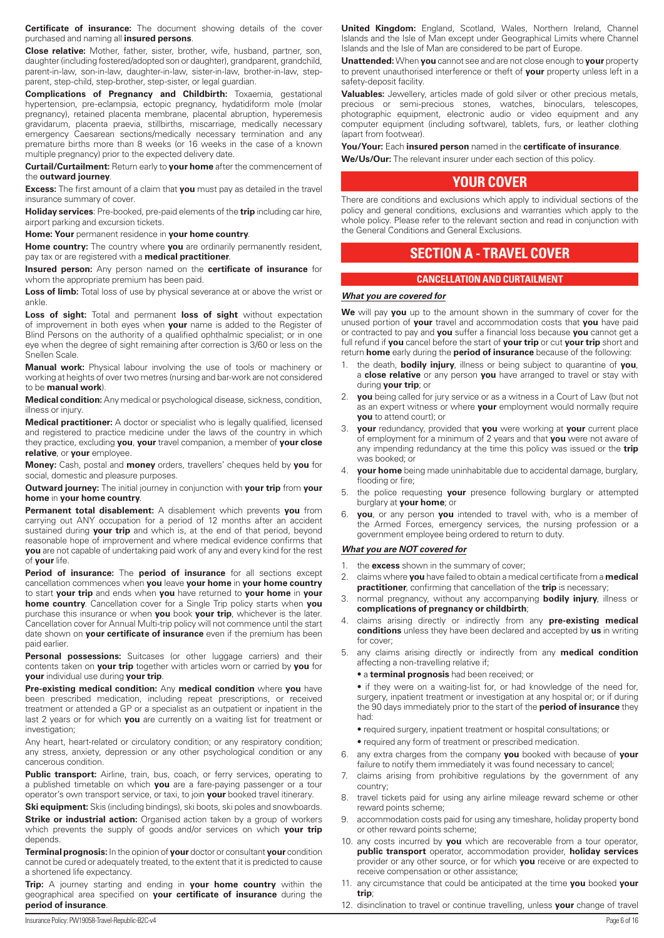<span id="page-5-0"></span>**Certificate of insurance:** The document showing details of the cover purchased and naming all **insured persons**.

**Close relative:** Mother, father, sister, brother, wife, husband, partner, son, daughter (including fostered/adopted son or daughter), grandparent, grandchild, parent-in-law, son-in-law, daughter-in-law, sister-in-law, brother-in-law, stepparent, step-child, step-brother, step-sister, or legal guardian.

**Complications of Pregnancy and Childbirth:** Toxaemia, gestational hypertension, pre-eclampsia, ectopic pregnancy, hydatidiform mole (molar pregnancy), retained placenta membrane, placental abruption, hyperemesis gravidarum, placenta praevia, stillbirths, miscarriage, medically necessary emergency Caesarean sections/medically necessary termination and any premature births more than 8 weeks (or 16 weeks in the case of a known multiple pregnancy) prior to the expected delivery date.

**Curtail/Curtailment:** Return early to **your home** after the commencement of the **outward journey**.

**Excess:** The first amount of a claim that **you** must pay as detailed in the travel insurance summary of cover.

**Holiday services**: Pre-booked, pre-paid elements of the **trip** including car hire, airport parking and excursion tickets.

**Home: Your** permanent residence in **your home country**.

**Home country:** The country where **you** are ordinarily permanently resident, pay tax or are registered with a **medical practitioner**.

**Insured person:** Any person named on the **certificate of insurance** for whom the appropriate premium has been paid.

Loss of limb: Total loss of use by physical severance at or above the wrist or ankle.

Loss of sight: Total and permanent loss of sight without expectation of improvement in both eyes when **your** name is added to the Register of Blind Persons on the authority of a qualified ophthalmic specialist; or in one eye when the degree of sight remaining after correction is 3/60 or less on the Snellen Scale.

**Manual work:** Physical labour involving the use of tools or machinery or working at heights of over two metres (nursing and bar-work are not considered to be **manual work**).

**Medical condition:** Any medical or psychological disease, sickness, condition, illness or injury.

**Medical practitioner:** A doctor or specialist who is legally qualified, licensed and registered to practice medicine under the laws of the country in which they practice, excluding **you**, **your** travel companion, a member of **your close relative**, or **your** employee.

**Money:** Cash, postal and **money** orders, travellers' cheques held by **you** for social, domestic and pleasure purposes.

**Outward journey:** The initial journey in conjunction with **your trip** from **your home** in **your home country**.

**Permanent total disablement:** A disablement which prevents **you** from carrying out ANY occupation for a period of 12 months after an accident sustained during **your trip** and which is, at the end of that period, beyond reasonable hope of improvement and where medical evidence confirms that **you** are not capable of undertaking paid work of any and every kind for the rest of **your** life.

**Period of insurance:** The **period of insurance** for all sections except cancellation commences when **you** leave **your home** in **your home country** to start **your trip** and ends when **you** have returned to **your home** in **your home country**. Cancellation cover for a Single Trip policy starts when **you** purchase this insurance or when **you** book **your trip**, whichever is the later. Cancellation cover for Annual Multi-trip policy will not commence until the start date shown on **your certificate of insurance** even if the premium has been paid earlier.

**Personal possessions:** Suitcases (or other luggage carriers) and their contents taken on **your trip** together with articles worn or carried by **you** for **your** individual use during **your trip**.

**Pre-existing medical condition:** Any **medical condition** where **you** have been prescribed medication, including repeat prescriptions, or received treatment or attended a GP or a specialist as an outpatient or inpatient in the last 2 years or for which **you** are currently on a waiting list for treatment or investigation;

Any heart, heart-related or circulatory condition; or any respiratory condition; any stress, anxiety, depression or any other psychological condition or any cancerous condition.

Public transport: Airline, train, bus, coach, or ferry services, operating to a published timetable on which **you** are a fare-paying passenger or a tour operator's own transport service, or taxi, to join **your** booked travel itinerary.

**Ski equipment:** Skis (including bindings), ski boots, ski poles and snowboards.

**Strike or industrial action:** Organised action taken by a group of workers which prevents the supply of goods and/or services on which **your trip** depends.

**Terminal prognosis:** In the opinion of **your** doctor or consultant **your** condition cannot be cured or adequately treated, to the extent that it is predicted to cause a shortened life expectancy.

**Trip:** A journey starting and ending in **your home country** within the geographical area specified on **your certificate of insurance** during the **period of insurance**.

**United Kingdom:** England, Scotland, Wales, Northern Ireland, Channel Islands and the Isle of Man except under Geographical Limits where Channel Islands and the Isle of Man are considered to be part of Europe.

**Unattended:** When **you** cannot see and are not close enough to **your** property to prevent unauthorised interference or theft of **your** property unless left in a safety-deposit facility.

**Valuables:** Jewellery, articles made of gold silver or other precious metals, precious or semi-precious stones, watches, binoculars, telescopes, photographic equipment, electronic audio or video equipment and any computer equipment (including software), tablets, furs, or leather clothing (apart from footwear).

**You/Your:** Each **insured person** named in the **certificate of insurance**.

**We/Us/Our:** The relevant insurer under each section of this policy.

# **YOUR COVER**

There are conditions and exclusions which apply to individual sections of the policy and general conditions, exclusions and warranties which apply to the whole policy. Please refer to the relevant section and read in conjunction with the General Conditions and General Exclusions.

# **SECTION A - TRAVEL COVER**

# **CANCELLATION AND CURTAILMENT**

## *What you are covered for*

**We** will pay **you** up to the amount shown in the summary of cover for the unused portion of **your** travel and accommodation costs that **you** have paid or contracted to pay and **you** suffer a financial loss because **you** cannot get a full refund if **you** cancel before the start of **your trip** or cut **your trip** short and return **home** early during the **period of insurance** because of the following:

- 1. the death, **bodily injury**, illness or being subject to quarantine of **you**, a **close relative** or any person **you** have arranged to travel or stay with during **your trip**; or
- 2. **you** being called for jury service or as a witness in a Court of Law (but not as an expert witness or where **your** employment would normally require **you** to attend court); or
- 3. **your** redundancy, provided that **you** were working at **your** current place of employment for a minimum of 2 years and that **you** were not aware of any impending redundancy at the time this policy was issued or the **trip** was booked; or
- 4. **your home** being made uninhabitable due to accidental damage, burglary, flooding or fire;
- 5. the police requesting **your** presence following burglary or attempted burglary at **your home**; or
- 6. **you**, or any person **you** intended to travel with, who is a member of the Armed Forces, emergency services, the nursing profession or a government employee being ordered to return to duty.

## *What you are NOT covered for*

- 1. the **excess** shown in the summary of cover;
- 2. claims where **you** have failed to obtain a medical certificate from a **medical practitioner**, confirming that cancellation of the **trip** is necessary;
- 3. normal pregnancy, without any accompanying **bodily injury**, illness or **complications of pregnancy or childbirth**;
- 4. claims arising directly or indirectly from any **pre-existing medical conditions** unless they have been declared and accepted by **us** in writing for cover;
- 5. any claims arising directly or indirectly from any **medical condition** affecting a non-travelling relative if;
	- a **terminal prognosis** had been received; or

• if they were on a waiting-list for, or had knowledge of the need for, surgery, inpatient treatment or investigation at any hospital or; or if during the 90 days immediately prior to the start of the **period of insurance** they had:

- required surgery, inpatient treatment or hospital consultations; or
- required any form of treatment or prescribed medication.
- 6. any extra charges from the company **you** booked with because of **your**  failure to notify them immediately it was found necessary to cancel;
- 7. claims arising from prohibitive regulations by the government of any country;
- 8. travel tickets paid for using any airline mileage reward scheme or other reward points scheme;
- 9. accommodation costs paid for using any timeshare, holiday property bond or other reward points scheme;
- 10. any costs incurred by **you** which are recoverable from a tour operator, **public transport** operator, accommodation provider, **holiday services** provider or any other source, or for which **you** receive or are expected to receive compensation or other assistance;
- 11. any circumstance that could be anticipated at the time **you** booked **your trip**;
- 12. disinclination to travel or continue travelling, unless **your** change of travel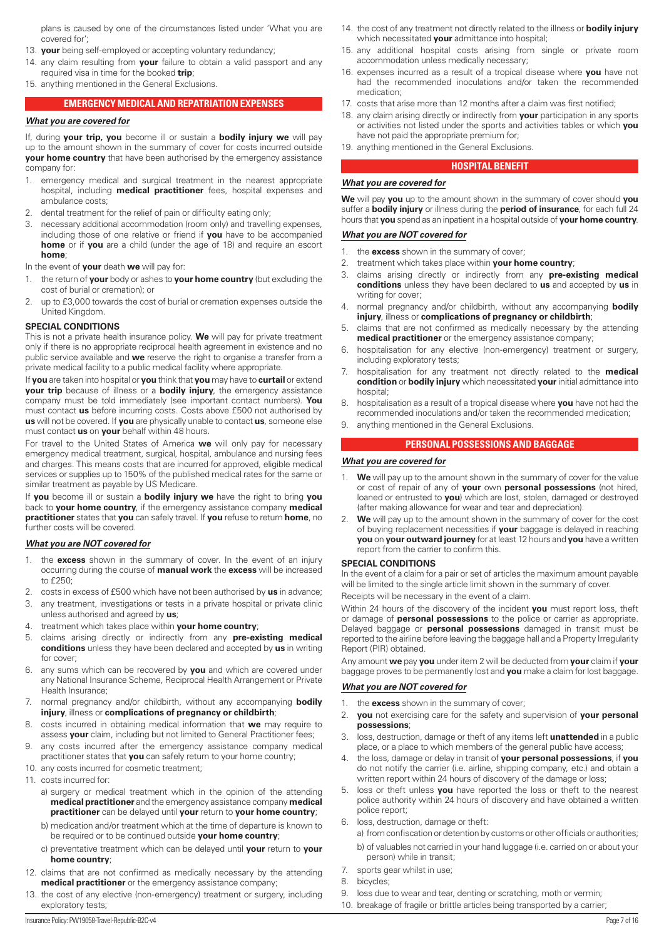<span id="page-6-0"></span>plans is caused by one of the circumstances listed under 'What you are covered for';

- 13. **your** being self-employed or accepting voluntary redundancy;
- 14. any claim resulting from **your** failure to obtain a valid passport and any required visa in time for the booked **trip**;
- 15. anything mentioned in the General Exclusions.

## **EMERGENCY MEDICAL AND REPATRIATION EXPENSES**

#### *What you are covered for*

If, during **your trip, you** become ill or sustain a **bodily injury we** will pay up to the amount shown in the summary of cover for costs incurred outside **your home country** that have been authorised by the emergency assistance company for:

- emergency medical and surgical treatment in the nearest appropriate hospital, including **medical practitioner** fees, hospital expenses and ambulance costs;
- 2. dental treatment for the relief of pain or difficulty eating only;
- 3. necessary additional accommodation (room only) and travelling expenses, including those of one relative or friend if **you** have to be accompanied **home** or if **you** are a child (under the age of 18) and require an escort **home**;

#### In the event of **your** death **we** will pay for:

- 1. the return of **your** body or ashes to **your home country** (but excluding the cost of burial or cremation); or
- 2. up to £3,000 towards the cost of burial or cremation expenses outside the United Kingdom.

#### **SPECIAL CONDITIONS**

This is not a private health insurance policy. **We** will pay for private treatment only if there is no appropriate reciprocal health agreement in existence and no public service available and **we** reserve the right to organise a transfer from a private medical facility to a public medical facility where appropriate.

If **you** are taken into hospital or **you** think that **you** may have to **curtail** or extend **your trip** because of illness or a **bodily injury**, the emergency assistance company must be told immediately (see important contact numbers). **You** must contact **us** before incurring costs. Costs above £500 not authorised by **us** will not be covered. If **you** are physically unable to contact **us**, someone else must contact **us** on **your** behalf within 48 hours.

For travel to the United States of America **we** will only pay for necessary emergency medical treatment, surgical, hospital, ambulance and nursing fees and charges. This means costs that are incurred for approved, eligible medical services or supplies up to 150% of the published medical rates for the same or similar treatment as payable by US Medicare.

If **you** become ill or sustain a **bodily injury we** have the right to bring **you** back to **your home country**, if the emergency assistance company **medical practitioner** states that **you** can safely travel. If **you** refuse to return **home**, no further costs will be covered.

## *What you are NOT covered for*

- 1. the **excess** shown in the summary of cover. In the event of an injury occurring during the course of **manual work** the **excess** will be increased to £250;
- 2. costs in excess of £500 which have not been authorised by **us** in advance;
- 3. any treatment, investigations or tests in a private hospital or private clinic unless authorised and agreed by **us**;
- 4. treatment which takes place within **your home country**;
- 5. claims arising directly or indirectly from any **pre-existing medical conditions** unless they have been declared and accepted by **us** in writing for cover;
- 6. any sums which can be recovered by **you** and which are covered under any National Insurance Scheme, Reciprocal Health Arrangement or Private Health Insurance;
- 7. normal pregnancy and/or childbirth, without any accompanying **bodily injury**, illness or **complications of pregnancy or childbirth**;
- 8. costs incurred in obtaining medical information that **we** may require to assess **your** claim, including but not limited to General Practitioner fees;
- 9. any costs incurred after the emergency assistance company medical practitioner states that **you** can safely return to your home country;
- 10. any costs incurred for cosmetic treatment;
- 11. costs incurred for:
	- a) surgery or medical treatment which in the opinion of the attending **medical practitioner** and the emergency assistance company **medical practitioner** can be delayed until **your** return to **your home country**;
	- b) medication and/or treatment which at the time of departure is known to be required or to be continued outside **your home country**;
	- c) preventative treatment which can be delayed until **your** return to **your home country**;
- 12. claims that are not confirmed as medically necessary by the attending **medical practitioner** or the emergency assistance company;
- 13. the cost of any elective (non-emergency) treatment or surgery, including exploratory tests;
- 14. the cost of any treatment not directly related to the illness or **bodily injury**  which necessitated **your** admittance into hospital;
- 15. any additional hospital costs arising from single or private room accommodation unless medically necessary;
- 16. expenses incurred as a result of a tropical disease where **you** have not had the recommended inoculations and/or taken the recommended medication;
- 17. costs that arise more than 12 months after a claim was first notified;
- 18. any claim arising directly or indirectly from **your** participation in any sports or activities not listed under the sports and activities tables or which **you** have not paid the appropriate premium for;
- 19. anything mentioned in the General Exclusions.

# **HOSPITAL BENEFIT**

# *What you are covered for*

**We** will pay **you** up to the amount shown in the summary of cover should **you** suffer a **bodily injury** or illness during the **period of insurance**, for each full 24 hours that **you** spend as an inpatient in a hospital outside of **your home country**.

# *What you are NOT covered for*

- 1. the **excess** shown in the summary of cover;
- 2. treatment which takes place within **your home country**;
- 3. claims arising directly or indirectly from any **pre-existing medical conditions** unless they have been declared to **us** and accepted by **us** in writing for cover;
- 4. normal pregnancy and/or childbirth, without any accompanying **bodily injury**, illness or **complications of pregnancy or childbirth**;
- claims that are not confirmed as medically necessary by the attending **medical practitioner** or the emergency assistance company;
- 6. hospitalisation for any elective (non-emergency) treatment or surgery, including exploratory tests;
- 7. hospitalisation for any treatment not directly related to the **medical condition** or **bodily injury** which necessitated **your** initial admittance into hospital;
- 8. hospitalisation as a result of a tropical disease where **you** have not had the recommended inoculations and/or taken the recommended medication;
- 9. anything mentioned in the General Exclusions.

#### **PERSONAL POSSESSIONS AND BAGGAGE**

#### *What you are covered for*

- 1. **We** will pay up to the amount shown in the summary of cover for the value or cost of repair of any of **your** own **personal possessions** (not hired, loaned or entrusted to **you**) which are lost, stolen, damaged or destroyed (after making allowance for wear and tear and depreciation).
- We will pay up to the amount shown in the summary of cover for the cost of buying replacement necessities if **your** baggage is delayed in reaching **you** on **your outward journey** for at least 12 hours and **you** have a written report from the carrier to confirm this.

#### **SPECIAL CONDITIONS**

In the event of a claim for a pair or set of articles the maximum amount payable will be limited to the single article limit shown in the summary of cover.

Receipts will be necessary in the event of a claim.

Within 24 hours of the discovery of the incident **you** must report loss, theft or damage of **personal possessions** to the police or carrier as appropriate. Delayed baggage or **personal possessions** damaged in transit must be reported to the airline before leaving the baggage hall and a Property Irregularity Report (PIR) obtained.

Any amount **we** pay **you** under item 2 will be deducted from **your** claim if **your** baggage proves to be permanently lost and **you** make a claim for lost baggage.

# *What you are NOT covered for*

- 1. the **excess** shown in the summary of cover;
- 2. **you** not exercising care for the safety and supervision of **your personal possessions**;
- 3. loss, destruction, damage or theft of any items left **unattended** in a public place, or a place to which members of the general public have access;
- 4. the loss, damage or delay in transit of **your personal possessions**, if **you** do not notify the carrier (i.e. airline, shipping company, etc.) and obtain a written report within 24 hours of discovery of the damage or loss;
- 5. loss or theft unless **you** have reported the loss or theft to the nearest police authority within 24 hours of discovery and have obtained a written police report;
- 6. loss, destruction, damage or theft:
	- a) from confiscation or detention by customs or other officials or authorities; b) of valuables not carried in your hand luggage (i.e. carried on or about your person) while in transit;
- 7 sports gear whilst in use:
- 8. bicycles;
- 9. loss due to wear and tear, denting or scratching, moth or vermin;
- 10. breakage of fragile or brittle articles being transported by a carrier;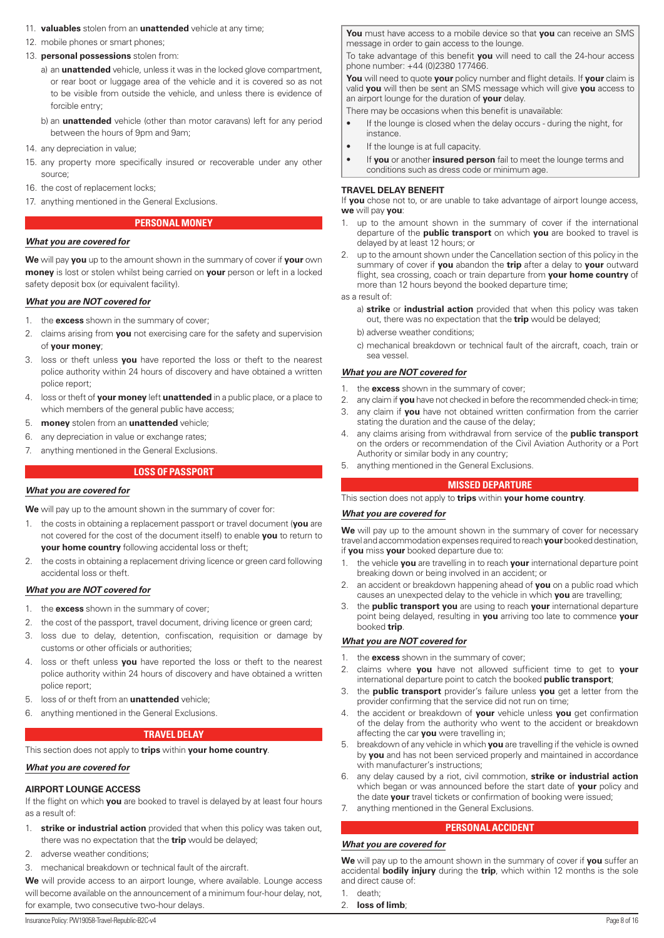- <span id="page-7-0"></span>11. **valuables** stolen from an **unattended** vehicle at any time;
- 12. mobile phones or smart phones;
- 13. **personal possessions** stolen from:
	- a) an **unattended** vehicle, unless it was in the locked glove compartment, or rear boot or luggage area of the vehicle and it is covered so as not to be visible from outside the vehicle, and unless there is evidence of forcible entry;
	- b) an **unattended** vehicle (other than motor caravans) left for any period between the hours of 9pm and 9am;
- 14 any depreciation in value;
- 15. any property more specifically insured or recoverable under any other source;
- 16. the cost of replacement locks;
- 17. anything mentioned in the General Exclusions.

#### **PERSONAL MONEY**

# *What you are covered for*

**We** will pay **you** up to the amount shown in the summary of cover if **your** own **money** is lost or stolen whilst being carried on **your** person or left in a locked safety deposit box (or equivalent facility).

# *What you are NOT covered for*

- 1. the **excess** shown in the summary of cover;
- 2. claims arising from **you** not exercising care for the safety and supervision of **your money**;
- 3. loss or theft unless **you** have reported the loss or theft to the nearest police authority within 24 hours of discovery and have obtained a written police report;
- 4. loss or theft of **your money** left **unattended** in a public place, or a place to which members of the general public have access;
- 5. **money** stolen from an **unattended** vehicle;
- 6. any depreciation in value or exchange rates;
- 7. anything mentioned in the General Exclusions.

# **LOSS OF PASSPORT**

#### *What you are covered for*

**We** will pay up to the amount shown in the summary of cover for:

- 1. the costs in obtaining a replacement passport or travel document (**you** are not covered for the cost of the document itself) to enable **you** to return to **your home country** following accidental loss or theft;
- 2. the costs in obtaining a replacement driving licence or green card following accidental loss or theft.

#### *What you are NOT covered for*

- 1. the **excess** shown in the summary of cover;
- 2. the cost of the passport, travel document, driving licence or green card;
- 3. loss due to delay, detention, confiscation, requisition or damage by customs or other officials or authorities;
- 4. loss or theft unless **you** have reported the loss or theft to the nearest police authority within 24 hours of discovery and have obtained a written police report;
- 5. loss of or theft from an **unattended** vehicle;
- 6. anything mentioned in the General Exclusions.

#### **TRAVEL DELAY**

This section does not apply to **trips** within **your home country**.

#### *What you are covered for*

#### **AIRPORT LOUNGE ACCESS**

If the flight on which **you** are booked to travel is delayed by at least four hours as a result of:

- 1. **strike or industrial action** provided that when this policy was taken out, there was no expectation that the **trip** would be delayed;
- 2. adverse weather conditions;
- 3. mechanical breakdown or technical fault of the aircraft.

**We** will provide access to an airport lounge, where available. Lounge access will become available on the announcement of a minimum four-hour delay, not, for example, two consecutive two-hour delays.

**You** must have access to a mobile device so that **you** can receive an SMS message in order to gain access to the lounge.

To take advantage of this benefit **you** will need to call the 24-hour access phone number: +44 (0)2380 177466.

**You** will need to quote **your** policy number and flight details. If **your** claim is valid **you** will then be sent an SMS message which will give **you** access to an airport lounge for the duration of **your** delay.

There may be occasions when this benefit is unavailable:

- If the lounge is closed when the delay occurs during the night, for instance.
- If the lounge is at full capacity.
- If **you** or another **insured person** fail to meet the lounge terms and conditions such as dress code or minimum age.

#### **TRAVEL DELAY BENEFIT**

If **you** chose not to, or are unable to take advantage of airport lounge access, **we** will pay **you**:

- 1. up to the amount shown in the summary of cover if the international departure of the **public transport** on which **you** are booked to travel is delayed by at least 12 hours; or
- 2. up to the amount shown under the Cancellation section of this policy in the summary of cover if **you** abandon the **trip** after a delay to **your** outward flight, sea crossing, coach or train departure from **your home country** of more than 12 hours beyond the booked departure time;

# as a result of:

- a) **strike** or **industrial action** provided that when this policy was taken out, there was no expectation that the **trip** would be delayed;
- b) adverse weather conditions;
- c) mechanical breakdown or technical fault of the aircraft, coach, train or sea vessel.

#### *What you are NOT covered for*

- 1. the **excess** shown in the summary of cover;
- 2. any claim if **you** have not checked in before the recommended check-in time;
- 3. any claim if **you** have not obtained written confirmation from the carrier stating the duration and the cause of the delay;
- 4. any claims arising from withdrawal from service of the **public transport**  on the orders or recommendation of the Civil Aviation Authority or a Port Authority or similar body in any country;
- 5. anything mentioned in the General Exclusions.

# **MISSED DEPARTURE**

This section does not apply to **trips** within **your home country**.

#### *What you are covered for*

**We** will pay up to the amount shown in the summary of cover for necessary travel and accommodation expenses required to reach **your** booked destination, if **you** miss **your** booked departure due to:

- 1. the vehicle **you** are travelling in to reach **your** international departure point breaking down or being involved in an accident; or
- 2. an accident or breakdown happening ahead of **you** on a public road which causes an unexpected delay to the vehicle in which **you** are travelling;
- 3. the **public transport you** are using to reach **your** international departure point being delayed, resulting in **you** arriving too late to commence **your** booked **trip**.

# *What you are NOT covered for*

- 1. the **excess** shown in the summary of cover;
- 2. claims where **you** have not allowed sufficient time to get to **your** international departure point to catch the booked **public transport**;
- 3. the **public transport** provider's failure unless **you** get a letter from the provider confirming that the service did not run on time;
- 4. the accident or breakdown of **your** vehicle unless **you** get confirmation of the delay from the authority who went to the accident or breakdown affecting the car **you** were travelling in;
- 5. breakdown of any vehicle in which **you** are travelling if the vehicle is owned by **you** and has not been serviced properly and maintained in accordance with manufacturer's instructions;
- 6. any delay caused by a riot, civil commotion, **strike or industrial action** which began or was announced before the start date of **your** policy and the date **your** travel tickets or confirmation of booking were issued;
- 7. anything mentioned in the General Exclusions.

# **PERSONAL ACCIDENT**

#### *What you are covered for*

**We** will pay up to the amount shown in the summary of cover if **you** suffer an accidental **bodily injury** during the **trip**, which within 12 months is the sole and direct cause of:

- 1. death;
- 2. **loss of limb**;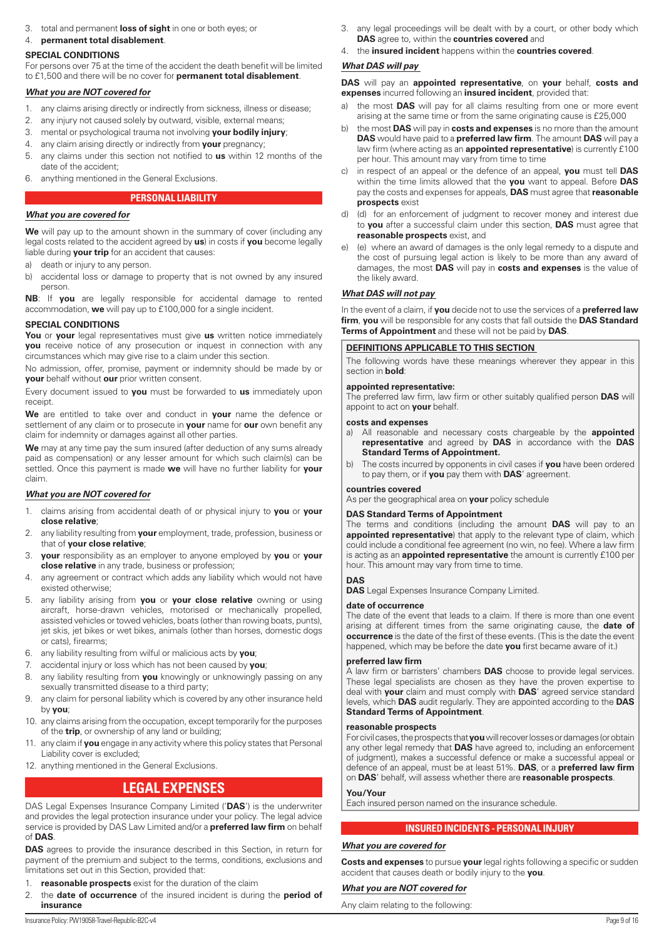<span id="page-8-0"></span>3. total and permanent **loss of sight** in one or both eyes; or

# 4. **permanent total disablement**.

## **SPECIAL CONDITIONS**

For persons over 75 at the time of the accident the death benefit will be limited to £1,500 and there will be no cover for **permanent total disablement**.

# *What you are NOT covered for*

- 1. any claims arising directly or indirectly from sickness, illness or disease;
- 2. any injury not caused solely by outward, visible, external means;
- 3. mental or psychological trauma not involving **your bodily injury**;
- 4. any claim arising directly or indirectly from **your** pregnancy;
- 5. any claims under this section not notified to **us** within 12 months of the date of the accident;
- 6. anything mentioned in the General Exclusions.

# **PERSONAL LIABILITY**

# *What you are covered for*

We will pay up to the amount shown in the summary of cover (including any legal costs related to the accident agreed by **us**) in costs if **you** become legally liable during **your trip** for an accident that causes:

- a) death or injury to any person.
- b) accidental loss or damage to property that is not owned by any insured person.

**NB**: If **you** are legally responsible for accidental damage to rented accommodation, **we** will pay up to £100,000 for a single incident.

## **SPECIAL CONDITIONS**

**You** or **your** legal representatives must give **us** written notice immediately **you** receive notice of any prosecution or inquest in connection with any circumstances which may give rise to a claim under this section.

No admission, offer, promise, payment or indemnity should be made by or **your** behalf without **our** prior written consent.

Every document issued to **you** must be forwarded to **us** immediately upon receipt.

**We** are entitled to take over and conduct in **your** name the defence or settlement of any claim or to prosecute in **your** name for **our** own benefit any claim for indemnity or damages against all other parties.

**We** may at any time pay the sum insured (after deduction of any sums already paid as compensation) or any lesser amount for which such claim(s) can be settled. Once this payment is made **we** will have no further liability for **your** claim.

# *What you are NOT covered for*

- 1. claims arising from accidental death of or physical injury to **you** or **your close relative**;
- 2. any liability resulting from **your** employment, trade, profession, business or that of **your close relative**;
- 3. **your** responsibility as an employer to anyone employed by **you** or **your close relative** in any trade, business or profession;
- 4. any agreement or contract which adds any liability which would not have existed otherwise;
- 5. any liability arising from **you** or **your close relative** owning or using aircraft, horse-drawn vehicles, motorised or mechanically propelled, assisted vehicles or towed vehicles, boats (other than rowing boats, punts), jet skis, jet bikes or wet bikes, animals (other than horses, domestic dogs or cats), firearms;
- 6. any liability resulting from wilful or malicious acts by **you**;
- 7. accidental injury or loss which has not been caused by **you**;
- 8. any liability resulting from **you** knowingly or unknowingly passing on any sexually transmitted disease to a third party;
- 9. any claim for personal liability which is covered by any other insurance held by **you**;
- 10. any claims arising from the occupation, except temporarily for the purposes of the **trip**, or ownership of any land or building;
- 11. any claim if **you** engage in any activity where this policy states that Personal Liability cover is excluded;
- 12. anything mentioned in the General Exclusions.

# **LEGAL EXPENSES**

DAS Legal Expenses Insurance Company Limited ('**DAS**') is the underwriter and provides the legal protection insurance under your policy. The legal advice service is provided by DAS Law Limited and/or a **preferred law firm** on behalf of **DAS**.

**DAS** agrees to provide the insurance described in this Section, in return for payment of the premium and subject to the terms, conditions, exclusions and limitations set out in this Section, provided that:

- 1. **reasonable prospects** exist for the duration of the claim
- 2. the **date of occurrence** of the insured incident is during the **period of insurance**
- 3. any legal proceedings will be dealt with by a court, or other body which **DAS** agree to, within the **countries covered** and
- 4. the **insured incident** happens within the **countries covered**.

# *What DAS will pay*

**DAS** will pay an **appointed representative**, on **your** behalf, **costs and expenses** incurred following an **insured incident**, provided that:

- a) the most **DAS** will pay for all claims resulting from one or more event arising at the same time or from the same originating cause is £25,000
- b) the most **DAS** will pay in **costs and expenses** is no more than the amount **DAS** would have paid to a **preferred law firm**. The amount **DAS** will pay a law firm (where acting as an **appointed representative**) is currently £100 per hour. This amount may vary from time to time
- in respect of an appeal or the defence of an appeal, you must tell DAS within the time limits allowed that the **you** want to appeal. Before **DAS** pay the costs and expenses for appeals, **DAS** must agree that **reasonable prospects** exist
- d) (d) for an enforcement of judgment to recover money and interest due to **you** after a successful claim under this section, **DAS** must agree that **reasonable prospects** exist, and
- e) (e) where an award of damages is the only legal remedy to a dispute and the cost of pursuing legal action is likely to be more than any award of damages, the most **DAS** will pay in **costs and expenses** is the value of the likely award.

# *What DAS will not pay*

In the event of a claim, if **you** decide not to use the services of a **preferred law firm**, **you** will be responsible for any costs that fall outside the **DAS Standard Terms of Appointment** and these will not be paid by **DAS**.

## **DEFINITIONS APPLICABLE TO THIS SECTION**

The following words have these meanings wherever they appear in this section in **bold**:

#### **appointed representative:**

The preferred law firm, law firm or other suitably qualified person **DAS** will appoint to act on **your** behalf.

#### **costs and expenses**

- a) All reasonable and necessary costs chargeable by the **appointed representative** and agreed by **DAS** in accordance with the **DAS Standard Terms of Appointment.**
- b) The costs incurred by opponents in civil cases if **you** have been ordered to pay them, or if **you** pay them with **DAS**' agreement.

## **countries covered**

As per the geographical area on **your** policy schedule

## **DAS Standard Terms of Appointment**

The terms and conditions (including the amount **DAS** will pay to an **appointed representative**) that apply to the relevant type of claim, which could include a conditional fee agreement (no win, no fee). Where a law firm is acting as an **appointed representative** the amount is currently £100 per hour. This amount may vary from time to time.

## **DAS**

**DAS** Legal Expenses Insurance Company Limited.

## **date of occurrence**

The date of the event that leads to a claim. If there is more than one event arising at different times from the same originating cause, the **date of occurrence** is the date of the first of these events. (This is the date the event happened, which may be before the date **you** first became aware of it.)

## **preferred law firm**

A law firm or barristers' chambers **DAS** choose to provide legal services. These legal specialists are chosen as they have the proven expertise to deal with **your** claim and must comply with **DAS**' agreed service standard levels, which **DAS** audit regularly. They are appointed according to the **DAS Standard Terms of Appointment**.

## **reasonable prospects**

For civil cases, the prospects that **you** will recover losses or damages (or obtain any other legal remedy that **DAS** have agreed to, including an enforcement of judgment), makes a successful defence or make a successful appeal or defence of an appeal, must be at least 51%. **DAS**, or a **preferred law firm** on **DAS**' behalf, will assess whether there are **reasonable prospects**.

## **You/Your**

Each insured person named on the insurance schedule.

# **INSURED INCIDENTS - PERSONAL INJURY**

## *What you are covered for*

**Costs and expenses** to pursue **your** legal rights following a specific or sudden accident that causes death or bodily injury to the **you**.

## *What you are NOT covered for*

Any claim relating to the following: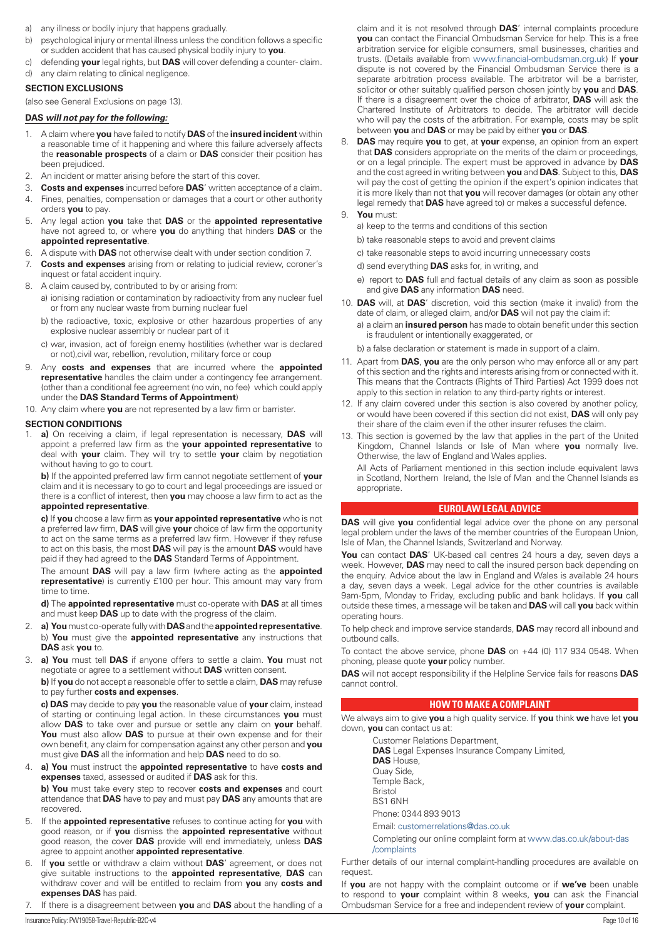- <span id="page-9-0"></span>a) any illness or bodily injury that happens gradually.
- b) psychological injury or mental illness unless the condition follows a specific or sudden accident that has caused physical bodily injury to **you**.
- c) defending **your** legal rights, but **DAS** will cover defending a counter- claim.
- d) any claim relating to clinical negligence.

# **SECTION EXCLUSIONS**

(also see General Exclusions on page 13).

## **DAS** *will not pay for the following:*

- 1. A claim where **you** have failed to notify **DAS** of the **insured incident** within a reasonable time of it happening and where this failure adversely affects the **reasonable prospects** of a claim or **DAS** consider their position has been prejudiced.
- 2. An incident or matter arising before the start of this cover.
- 3. **Costs and expenses** incurred before **DAS**' written acceptance of a claim.
- 4. Fines, penalties, compensation or damages that a court or other authority orders **you** to pay.
- 5. Any legal action **you** take that **DAS** or the **appointed representative** have not agreed to, or where **you** do anything that hinders **DAS** or the **appointed representative**.
- 6. A dispute with **DAS** not otherwise dealt with under section condition 7.
- 7. **Costs and expenses** arising from or relating to judicial review, coroner's inquest or fatal accident inquiry.
- 8. A claim caused by, contributed to by or arising from:
	- a) ionising radiation or contamination by radioactivity from any nuclear fuel or from any nuclear waste from burning nuclear fuel
	- b) the radioactive, toxic, explosive or other hazardous properties of any explosive nuclear assembly or nuclear part of it
	- c) war, invasion, act of foreign enemy hostilities (whether war is declared or not),civil war, rebellion, revolution, military force or coup
- 9. Any **costs and expenses** that are incurred where the **appointed representative** handles the claim under a contingency fee arrangement. (other than a conditional fee agreement (no win, no fee) which could apply under the **DAS Standard Terms of Appointment**)
- 10. Any claim where **you** are not represented by a law firm or barrister.

# **SECTION CONDITIONS**

1. **a)** On receiving a claim, if legal representation is necessary, **DAS** will appoint a preferred law firm as the **your appointed representative** to deal with **your** claim. They will try to settle **your** claim by negotiation without having to go to court.

**b)** If the appointed preferred law firm cannot negotiate settlement of **your** claim and it is necessary to go to court and legal proceedings are issued or there is a conflict of interest, then **you** may choose a law firm to act as the **appointed representative**.

**c)** If **you** choose a law firm as **your appointed representative** who is not a preferred law firm, **DAS** will give **your** choice of law firm the opportunity to act on the same terms as a preferred law firm. However if they refuse to act on this basis, the most **DAS** will pay is the amount **DAS** would have paid if they had agreed to the **DAS** Standard Terms of Appointment.

The amount **DAS** will pay a law firm (where acting as the **appointed representative**) is currently £100 per hour. This amount may vary from time to time.

**d)** The **appointed representative** must co-operate with **DAS** at all times and must keep **DAS** up to date with the progress of the claim.

- 2. **a) You** must co-operate fully with **DAS** and the **appointed representative**. b) **You** must give the **appointed representative** any instructions that **DAS** ask **you** to.
- 3. **a) You** must tell **DAS** if anyone offers to settle a claim. **You** must not negotiate or agree to a settlement without **DAS** written consent.

**b)** If **you** do not accept a reasonable offer to settle a claim, **DAS** may refuse to pay further **costs and expenses**.

**c) DAS** may decide to pay **you** the reasonable value of **your** claim, instead of starting or continuing legal action. In these circumstances **you** must allow **DAS** to take over and pursue or settle any claim on **your** behalf. **You** must also allow **DAS** to pursue at their own expense and for their own benefit, any claim for compensation against any other person and **you** must give **DAS** all the information and help **DAS** need to do so.

4. **a) You** must instruct the **appointed representative** to have **costs and expenses** taxed, assessed or audited if **DAS** ask for this.

**b) You** must take every step to recover **costs and expenses** and court attendance that **DAS** have to pay and must pay **DAS** any amounts that are recovered.

- 5. If the **appointed representative** refuses to continue acting for **you** with good reason, or if **you** dismiss the **appointed representative** without good reason, the cover **DAS** provide will end immediately, unless **DAS** agree to appoint another **appointed representative**.
- 6. If **you** settle or withdraw a claim without **DAS**' agreement, or does not give suitable instructions to the **appointed representative**, **DAS** can withdraw cover and will be entitled to reclaim from **you** any **costs and expenses DAS** has paid.
- 7. If there is a disagreement between **you** and **DAS** about the handling of a

8. **DAS** may require **you** to get, at **your** expense, an opinion from an expert that **DAS** considers appropriate on the merits of the claim or proceedings, or on a legal principle. The expert must be approved in advance by **DAS** and the cost agreed in writing between **you** and **DAS**. Subject to this, **DAS** will pay the cost of getting the opinion if the expert's opinion indicates that it is more likely than not that **you** will recover damages (or obtain any other legal remedy that **DAS** have agreed to) or makes a successful defence.

# 9. **You** must:

- a) keep to the terms and conditions of this section
- b) take reasonable steps to avoid and prevent claims
- c) take reasonable steps to avoid incurring unnecessary costs
- d) send everything **DAS** asks for, in writing, and
- e) report to **DAS** full and factual details of any claim as soon as possible and give **DAS** any information **DAS** need.
- 10. **DAS** will, at **DAS**' discretion, void this section (make it invalid) from the date of claim, or alleged claim, and/or **DAS** will not pay the claim if: a) a claim an **insured person** has made to obtain benefit under this section is fraudulent or intentionally exaggerated, or
	- b) a false declaration or statement is made in support of a claim.
- 11. Apart from **DAS**, **you** are the only person who may enforce all or any part of this section and the rights and interests arising from or connected with it. This means that the Contracts (Rights of Third Parties) Act 1999 does not apply to this section in relation to any third-party rights or interest.
- 12. If any claim covered under this section is also covered by another policy, or would have been covered if this section did not exist, **DAS** will only pay their share of the claim even if the other insurer refuses the claim.
- 13. This section is governed by the law that applies in the part of the United Kingdom, Channel Islands or Isle of Man where **you** normally live. Otherwise, the law of England and Wales applies.

All Acts of Parliament mentioned in this section include equivalent laws in Scotland, Northern Ireland, the Isle of Man and the Channel Islands as appropriate.

# **EUROLAW LEGAL ADVICE**

**DAS** will give **you** confidential legal advice over the phone on any personal legal problem under the laws of the member countries of the European Union, Isle of Man, the Channel Islands, Switzerland and Norway.

**You** can contact **DAS**' UK-based call centres 24 hours a day, seven days a week. However, **DAS** may need to call the insured person back depending on the enquiry. Advice about the law in England and Wales is available 24 hours a day, seven days a week. Legal advice for the other countries is available 9am-5pm, Monday to Friday, excluding public and bank holidays. If **you** call outside these times, a message will be taken and **DAS** will call **you** back within operating hours.

To help check and improve service standards, **DAS** may record all inbound and outbound calls.

To contact the above service, phone **DAS** on +44 (0) 117 934 0548. When phoning, please quote **your** policy number.

**DAS** will not accept responsibility if the Helpline Service fails for reasons **DAS** cannot control.

## **HOW TO MAKE A COMPLAINT**

We always aim to give **you** a high quality service. If **you** think **we** have let **you** down, **you** can contact us at:

- Customer Relations Department, **DAS** Legal Expenses Insurance Company Limited, **DAS** House, Quay Side, Temple Back, Bristol BS1 6NH Phone: 0344 893 9013
- Email: [customerrelations@das.co.uk](mailto:customerrelations@das.co.uk)

Completing our online complaint form at [www.das.co.uk/about-das](http://www.das.co.uk/about-das/complaints) [/complaints](http://www.das.co.uk/about-das/complaints)

Further details of our internal complaint-handling procedures are available on request.

If **you** are not happy with the complaint outcome or if **we've** been unable to respond to **your** complaint within 8 weeks, **you** can ask the Financial Ombudsman Service for a free and independent review of **your** complaint.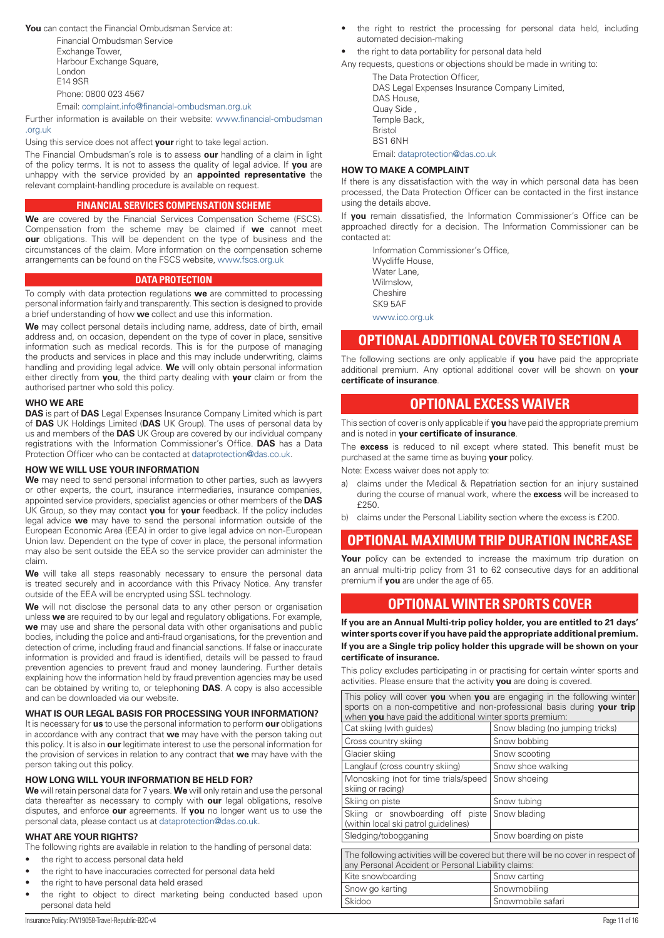<span id="page-10-0"></span>**You** can contact the Financial Ombudsman Service at:

Financial Ombudsman Service Exchange Tower, Harbour Exchange Square, London E14 9SR Phone: 0800 023 4567

Email: [complaint.info@financial-ombudsman.org.uk](mailto:complaint.info@financial-ombudsman.org.uk)

Further information is available on their website: [www.financial-ombudsman](http://www.financial-ombudsman.org.uk) [.org.uk](http://www.financial-ombudsman.org.uk)

Using this service does not affect **your** right to take legal action.

The Financial Ombudsman's role is to assess **our** handling of a claim in light of the policy terms. It is not to assess the quality of legal advice. If **you** are unhappy with the service provided by an **appointed representative** the relevant complaint-handling procedure is available on request.

# **FINANCIAL SERVICES COMPENSATION SCHEME**

**We** are covered by the Financial Services Compensation Scheme (FSCS). Compensation from the scheme may be claimed if **we** cannot meet **our** obligations. This will be dependent on the type of business and the circumstances of the claim. More information on the compensation scheme arrangements can be found on the FSCS website, [www.fscs.org.uk](http://www.fscs.org.uk)

# **DATA PROTECTION**

To comply with data protection regulations **we** are committed to processing personal information fairly and transparently. This section is designed to provide a brief understanding of how **we** collect and use this information.

**We** may collect personal details including name, address, date of birth, email address and, on occasion, dependent on the type of cover in place, sensitive information such as medical records. This is for the purpose of managing the products and services in place and this may include underwriting, claims handling and providing legal advice. **We** will only obtain personal information either directly from **you**, the third party dealing with **your** claim or from the authorised partner who sold this policy.

## **WHO WE ARE**

**DAS** is part of **DAS** Legal Expenses Insurance Company Limited which is part of **DAS** UK Holdings Limited (**DAS** UK Group). The uses of personal data by us and members of the **DAS** UK Group are covered by our individual company registrations with the Information Commissioner's Office. **DAS** has a Data Protection Officer who can be contacted at [dataprotection@das.co.uk](mailto:dataprotection@das.co.uk).

# **HOW WE WILL USE YOUR INFORMATION**

**We** may need to send personal information to other parties, such as lawyers or other experts, the court, insurance intermediaries, insurance companies, appointed service providers, specialist agencies or other members of the **DAS** UK Group, so they may contact **you** for **your** feedback. If the policy includes legal advice **we** may have to send the personal information outside of the European Economic Area (EEA) in order to give legal advice on non-European Union law. Dependent on the type of cover in place, the personal information may also be sent outside the EEA so the service provider can administer the claim.

We will take all steps reasonably necessary to ensure the personal data is treated securely and in accordance with this Privacy Notice. Any transfer outside of the EEA will be encrypted using SSL technology.

**We** will not disclose the personal data to any other person or organisation unless **we** are required to by our legal and regulatory obligations. For example, **we** may use and share the personal data with other organisations and public bodies, including the police and anti-fraud organisations, for the prevention and detection of crime, including fraud and financial sanctions. If false or inaccurate information is provided and fraud is identified, details will be passed to fraud prevention agencies to prevent fraud and money laundering. Further details explaining how the information held by fraud prevention agencies may be used can be obtained by writing to, or telephoning **DAS**. A copy is also accessible and can be downloaded via our website.

## **WHAT IS OUR LEGAL BASIS FOR PROCESSING YOUR INFORMATION?**

It is necessary for **us** to use the personal information to perform **our** obligations in accordance with any contract that **we** may have with the person taking out this policy. It is also in **our** legitimate interest to use the personal information for the provision of services in relation to any contract that **we** may have with the person taking out this policy.

## **HOW LONG WILL YOUR INFORMATION BE HELD FOR?**

**We** will retain personal data for 7 years. **We** will only retain and use the personal data thereafter as necessary to comply with **our** legal obligations, resolve disputes, and enforce **our** agreements. If **you** no longer want us to use the personal data, please contact us at [dataprotection@das.co.uk](mailto:dataprotection@das.co.uk).

## **WHAT ARE YOUR RIGHTS?**

The following rights are available in relation to the handling of personal data:

- the right to access personal data held
- the right to have inaccuracies corrected for personal data held
- the right to have personal data held erased
- the right to object to direct marketing being conducted based upon personal data held
- the right to restrict the processing for personal data held, including automated decision-making
- the right to data portability for personal data held

Any requests, questions or objections should be made in writing to:

The Data Protection Officer, DAS Legal Expenses Insurance Company Limited, DAS House, Quay Side , Temple Back Bristol BS1 6NH Email: [dataprotection@das.co.uk](mailto:dataprotection@das.co.uk)

## **HOW TO MAKE A COMPLAINT**

If there is any dissatisfaction with the way in which personal data has been processed, the Data Protection Officer can be contacted in the first instance using the details above.

If **you** remain dissatisfied, the Information Commissioner's Office can be approached directly for a decision. The Information Commissioner can be contacted at:

Information Commissioner's Office, Wycliffe House, Water Lane, Wilmslow, Cheshire SK9 5AF [www.ico.org.uk](http://www.ico.org.uk)

# **OPTIONAL ADDITIONAL COVER TO SECTION A**

The following sections are only applicable if **you** have paid the appropriate additional premium. Any optional additional cover will be shown on **your certificate of insurance**.

# **OPTIONAL EXCESS WAIVER**

This section of cover is only applicable if **you** have paid the appropriate premium and is noted in **your certificate of insurance**.

The **excess** is reduced to nil except where stated. This benefit must be purchased at the same time as buying **your** policy.

Note: Excess waiver does not apply to:

- a) claims under the Medical & Repatriation section for an injury sustained during the course of manual work, where the **excess** will be increased to £250.
- b) claims under the Personal Liability section where the excess is £200.

# **OPTIONAL MAXIMUM TRIP DURATION INCREASE**

Your policy can be extended to increase the maximum trip duration on an annual multi-trip policy from 31 to 62 consecutive days for an additional premium if **you** are under the age of 65.

# **OPTIONAL WINTER SPORTS COVER**

**If you are an Annual Multi-trip policy holder, you are entitled to 21 days' winter sports cover if you have paid the appropriate additional premium.**

**If you are a Single trip policy holder this upgrade will be shown on your certificate of insurance.**

This policy excludes participating in or practising for certain winter sports and activities. Please ensure that the activity **you** are doing is covered.

|                                                                         | This policy will cover you when you are engaging in the following winter          |  |  |
|-------------------------------------------------------------------------|-----------------------------------------------------------------------------------|--|--|
| sports on a non-competitive and non-professional basis during your trip |                                                                                   |  |  |
| when you have paid the additional winter sports premium:                |                                                                                   |  |  |
| Cat skiing (with guides)                                                | Snow blading (no jumping tricks)                                                  |  |  |
| Cross country skiing                                                    | Snow bobbing                                                                      |  |  |
| Glacier skiing                                                          | Snow scooting                                                                     |  |  |
| Langlauf (cross country skiing)                                         | Snow shoe walking                                                                 |  |  |
| Monoskiing (not for time trials/speed Snow shoeing                      |                                                                                   |  |  |
| skiing or racing)                                                       |                                                                                   |  |  |
| Skiing on piste                                                         | Snow tubing                                                                       |  |  |
| Skiing or snowboarding off piste Snow blading                           |                                                                                   |  |  |
| (within local ski patrol quidelines)                                    |                                                                                   |  |  |
| Sledging/tobogganing                                                    | Snow boarding on piste                                                            |  |  |
|                                                                         |                                                                                   |  |  |
|                                                                         | The following activities will be covered but there will be no cover in respect of |  |  |
| any Personal Accident or Personal Liability claims:                     |                                                                                   |  |  |
| Kite snowboarding                                                       | Snow carting                                                                      |  |  |
| Snow go karting                                                         | Snowmobiling                                                                      |  |  |
| Skidoo                                                                  | Snowmobile safari                                                                 |  |  |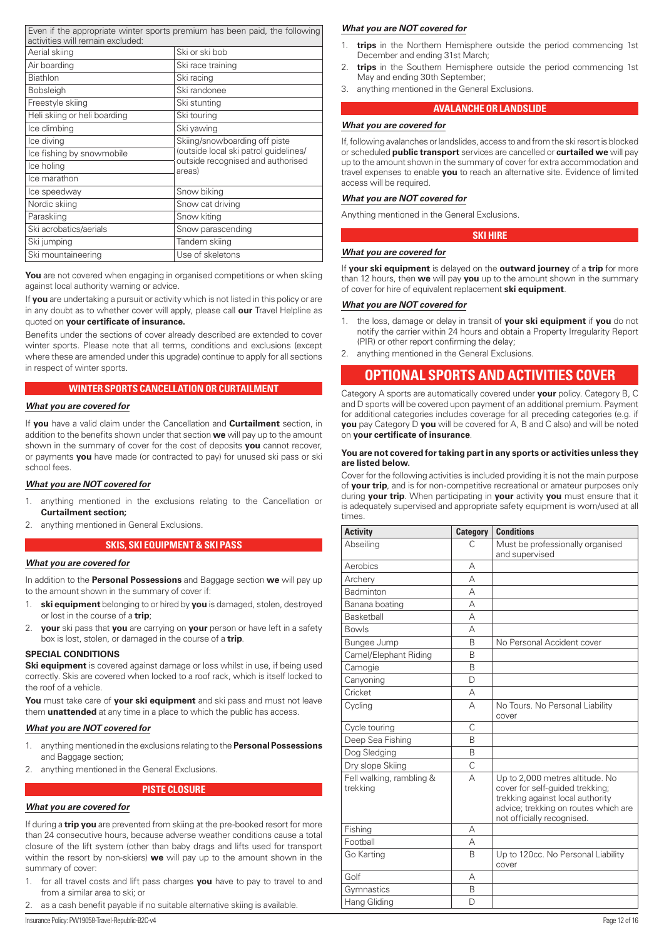<span id="page-11-0"></span>

| activities will remain excluded: | Even if the appropriate winter sports premium has been paid, the following |
|----------------------------------|----------------------------------------------------------------------------|
| Aerial skiing                    | Ski or ski bob                                                             |
| Air boarding                     | Ski race training                                                          |
| <b>Biathlon</b>                  | Ski racing                                                                 |
| <b>Bobsleigh</b>                 | Ski randonee                                                               |
| Freestyle skiing                 | Ski stunting                                                               |
| Heli skiing or heli boarding     | Ski touring                                                                |
| Ice climbing                     | Ski yawing                                                                 |
| Ice diving                       | Skiing/snowboarding off piste                                              |
| Ice fishing by snowmobile        | (outside local ski patrol quidelines/                                      |
| Ice holing                       | outside recognised and authorised<br>areas)                                |
| Ice marathon                     |                                                                            |
| Ice speedway                     | Snow biking                                                                |
| Nordic skiing                    | Snow cat driving                                                           |
| Paraskiing                       | Snow kiting                                                                |
| Ski acrobatics/aerials           | Snow parascending                                                          |
| Ski jumping                      | Tandem skiing                                                              |
| Ski mountaineering               | Use of skeletons                                                           |

You are not covered when engaging in organised competitions or when skiing against local authority warning or advice.

If **you** are undertaking a pursuit or activity which is not listed in this policy or are in any doubt as to whether cover will apply, please call **our** Travel Helpline as quoted on **your certificate of insurance.**

Benefits under the sections of cover already described are extended to cover winter sports. Please note that all terms, conditions and exclusions (except where these are amended under this upgrade) continue to apply for all sections in respect of winter sports.

# **WINTER SPORTS CANCELLATION OR CURTAILMENT**

# *What you are covered for*

If **you** have a valid claim under the Cancellation and **Curtailment** section, in addition to the benefits shown under that section **we** will pay up to the amount shown in the summary of cover for the cost of deposits **you** cannot recover, or payments **you** have made (or contracted to pay) for unused ski pass or ski school fees.

## *What you are NOT covered for*

- 1. anything mentioned in the exclusions relating to the Cancellation or **Curtailment section;**
- 2. anything mentioned in General Exclusions.

#### **SKIS, SKI EQUIPMENT & SKI PASS**

#### *What you are covered for*

In addition to the **Personal Possessions** and Baggage section **we** will pay up to the amount shown in the summary of cover if:

- 1. **ski equipment** belonging to or hired by **you** is damaged, stolen, destroyed or lost in the course of a **trip**;
- 2. **your** ski pass that **you** are carrying on **your** person or have left in a safety box is lost, stolen, or damaged in the course of a **trip**.

#### **SPECIAL CONDITIONS**

**Ski equipment** is covered against damage or loss whilst in use, if being used correctly. Skis are covered when locked to a roof rack, which is itself locked to the roof of a vehicle.

**You** must take care of **your ski equipment** and ski pass and must not leave them **unattended** at any time in a place to which the public has access.

## *What you are NOT covered for*

- 1. anything mentioned in the exclusions relating to the **Personal Possessions**  and Baggage section;
- 2. anything mentioned in the General Exclusions.

#### **PISTE CLOSURE**

## *What you are covered for*

If during a **trip you** are prevented from skiing at the pre-booked resort for more than 24 consecutive hours, because adverse weather conditions cause a total closure of the lift system (other than baby drags and lifts used for transport within the resort by non-skiers) **we** will pay up to the amount shown in the summary of cover:

- 1. for all travel costs and lift pass charges **you** have to pay to travel to and from a similar area to ski; or
- 2. as a cash benefit payable if no suitable alternative skiing is available.

#### *What you are NOT covered for*

- 1. **trips** in the Northern Hemisphere outside the period commencing 1st December and ending 31st March;
- 2. **trips** in the Southern Hemisphere outside the period commencing 1st May and ending 30th September;
- 3. anything mentioned in the General Exclusions.

#### **AVALANCHE OR LANDSLIDE**

#### *What you are covered for*

If, following avalanches or landslides, access to and from the ski resort is blocked or scheduled **public transport** services are cancelled or **curtailed we** will pay up to the amount shown in the summary of cover for extra accommodation and travel expenses to enable **you** to reach an alternative site. Evidence of limited access will be required.

# *What you are NOT covered for*

Anything mentioned in the General Exclusions.

# **SKI HIRE**

#### *What you are covered for*

If **your ski equipment** is delayed on the **outward journey** of a **trip** for more than 12 hours, then **we** will pay **you** up to the amount shown in the summary of cover for hire of equivalent replacement **ski equipment**.

#### *What you are NOT covered for*

- 1. the loss, damage or delay in transit of **your ski equipment** if **you** do not notify the carrier within 24 hours and obtain a Property Irregularity Report (PIR) or other report confirming the delay;
- 2. anything mentioned in the General Exclusions.

# **OPTIONAL SPORTS AND ACTIVITIES COVER**

Category A sports are automatically covered under **your** policy. Category B, C and D sports will be covered upon payment of an additional premium. Payment for additional categories includes coverage for all preceding categories (e.g. if **you** pay Category D **you** will be covered for A, B and C also) and will be noted on **your certificate of insurance**.

#### **You are not covered for taking part in any sports or activities unless they are listed below.**

Cover for the following activities is included providing it is not the main purpose of **your trip**, and is for non-competitive recreational or amateur purposes only during **your trip**. When participating in **your** activity **you** must ensure that it is adequately supervised and appropriate safety equipment is worn/used at all times.

| <b>Activity</b>                      | <b>Category</b> | <b>Conditions</b>                                                                                                                                                            |
|--------------------------------------|-----------------|------------------------------------------------------------------------------------------------------------------------------------------------------------------------------|
| Abseiling                            | C               | Must be professionally organised<br>and supervised                                                                                                                           |
| Aerobics                             | А               |                                                                                                                                                                              |
| Archery                              | А               |                                                                                                                                                                              |
| Badminton                            | А               |                                                                                                                                                                              |
| Banana boating                       | А               |                                                                                                                                                                              |
| <b>Basketball</b>                    | А               |                                                                                                                                                                              |
| <b>Bowls</b>                         | А               |                                                                                                                                                                              |
| Bungee Jump                          | B               | No Personal Accident cover                                                                                                                                                   |
| Camel/Elephant Riding                | <sub>R</sub>    |                                                                                                                                                                              |
| Camogie                              | R               |                                                                                                                                                                              |
| Canyoning                            | D               |                                                                                                                                                                              |
| Cricket                              | А               |                                                                                                                                                                              |
| Cycling                              | А               | No Tours. No Personal Liability<br>cover                                                                                                                                     |
| Cycle touring                        | C               |                                                                                                                                                                              |
| Deep Sea Fishing                     | B               |                                                                                                                                                                              |
| Dog Sledging                         | B               |                                                                                                                                                                              |
| Dry slope Skiing                     | Ċ               |                                                                                                                                                                              |
| Fell walking, rambling &<br>trekking | А               | Up to 2,000 metres altitude. No<br>cover for self-guided trekking;<br>trekking against local authority<br>advice; trekking on routes which are<br>not officially recognised. |
| Fishing                              | А               |                                                                                                                                                                              |
| Football                             | А               |                                                                                                                                                                              |
| Go Karting                           | B               | Up to 120cc. No Personal Liability<br>cover                                                                                                                                  |
| Golf                                 | А               |                                                                                                                                                                              |
| Gymnastics                           | R               |                                                                                                                                                                              |
| Hang Gliding                         | D               |                                                                                                                                                                              |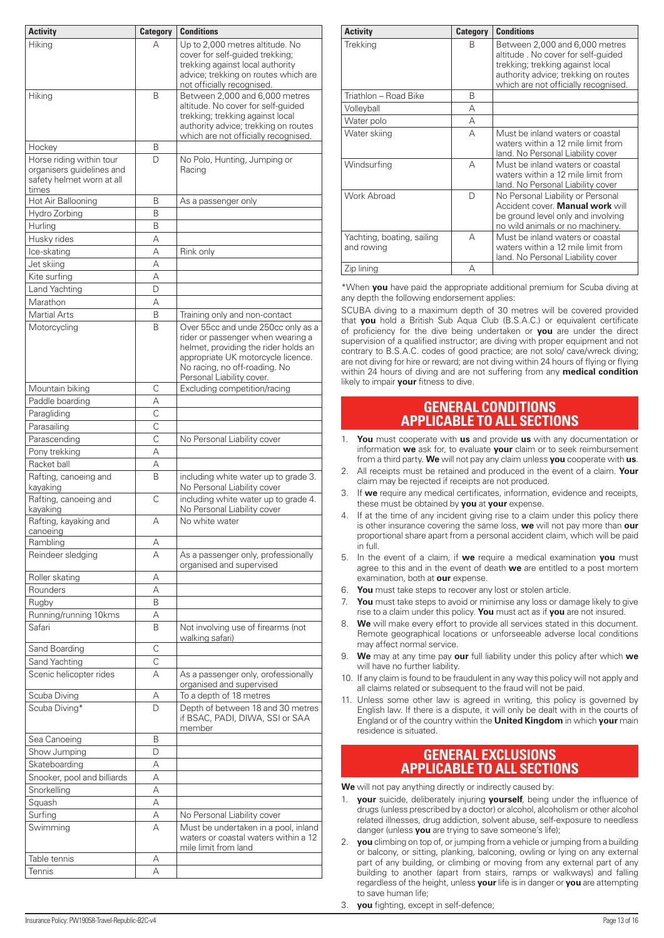<span id="page-12-0"></span>

| <b>Activity</b>                                                                             | <b>Category</b> | <b>Conditions</b>                                                                                                                                                                                                   |
|---------------------------------------------------------------------------------------------|-----------------|---------------------------------------------------------------------------------------------------------------------------------------------------------------------------------------------------------------------|
| Hiking                                                                                      | А               | Up to 2,000 metres altitude. No<br>cover for self-guided trekking;<br>trekking against local authority<br>advice; trekking on routes which are<br>not officially recognised.                                        |
| Hiking                                                                                      | B               | Between 2,000 and 6,000 metres<br>altitude. No cover for self-guided<br>trekking; trekking against local<br>authority advice; trekking on routes<br>which are not officially recognised.                            |
| Hockey                                                                                      | В               |                                                                                                                                                                                                                     |
| Horse riding within tour<br>organisers guidelines and<br>safety helmet worn at all<br>times | D               | No Polo, Hunting, Jumping or<br>Racing                                                                                                                                                                              |
| Hot Air Ballooning                                                                          | В               | As a passenger only                                                                                                                                                                                                 |
| Hydro Zorbing                                                                               | B               |                                                                                                                                                                                                                     |
| Hurling                                                                                     | B               |                                                                                                                                                                                                                     |
| Husky rides                                                                                 | А               |                                                                                                                                                                                                                     |
| Ice-skating                                                                                 | А               | Rink only                                                                                                                                                                                                           |
| Jet skiing                                                                                  | А               |                                                                                                                                                                                                                     |
| Kite surfing                                                                                | А               |                                                                                                                                                                                                                     |
| Land Yachting                                                                               | D               |                                                                                                                                                                                                                     |
| Marathon                                                                                    | А               |                                                                                                                                                                                                                     |
| <b>Martial Arts</b>                                                                         | B               | Training only and non-contact                                                                                                                                                                                       |
| Motorcycling                                                                                | B               | Over 55cc and unde 250cc only as a<br>rider or passenger when wearing a<br>helmet, providing the rider holds an<br>appropriate UK motorcycle licence.<br>No racing, no off-roading. No<br>Personal Liability cover. |
| Mountain biking                                                                             | C               | Excluding competition/racing                                                                                                                                                                                        |
| Paddle boarding                                                                             | А               |                                                                                                                                                                                                                     |
| Paragliding                                                                                 | $\mathsf{C}$    |                                                                                                                                                                                                                     |
| Parasailing                                                                                 | C               |                                                                                                                                                                                                                     |
| Parascending                                                                                | $\mathsf{C}$    | No Personal Liability cover                                                                                                                                                                                         |
| Pony trekking                                                                               | А               |                                                                                                                                                                                                                     |
| Racket ball                                                                                 | А               |                                                                                                                                                                                                                     |
| Rafting, canoeing and<br>kayaking                                                           | B               | including white water up to grade 3.<br>No Personal Liability cover                                                                                                                                                 |
| Rafting, canoeing and<br>kayaking                                                           | C               | including white water up to grade 4.<br>No Personal Liability cover                                                                                                                                                 |
| Rafting, kayaking and<br>canoeing                                                           | А               | No white water                                                                                                                                                                                                      |
| Rambling                                                                                    | А               |                                                                                                                                                                                                                     |
| Reindeer sledging                                                                           | А               | As a passenger only, professionally<br>organised and supervised                                                                                                                                                     |
| Roller skating                                                                              | А               |                                                                                                                                                                                                                     |
| Rounders                                                                                    | А               |                                                                                                                                                                                                                     |
| Rugby                                                                                       | B               |                                                                                                                                                                                                                     |
| Running/running 10kms                                                                       | А               |                                                                                                                                                                                                                     |
| Safari                                                                                      | B               | Not involving use of firearms (not<br>walking safari)                                                                                                                                                               |
| Sand Boarding                                                                               | С               |                                                                                                                                                                                                                     |
| Sand Yachting                                                                               | C               |                                                                                                                                                                                                                     |
| Scenic helicopter rides                                                                     | А               | As a passenger only, orofessionally<br>organised and supervised                                                                                                                                                     |
| Scuba Diving<br>Scuba Diving*                                                               | Α<br>D          | To a depth of 18 metres<br>Depth of between 18 and 30 metres<br>if BSAC, PADI, DIWA, SSI or SAA                                                                                                                     |
|                                                                                             |                 | member                                                                                                                                                                                                              |
| Sea Canoeing                                                                                | B               |                                                                                                                                                                                                                     |
| Show Jumping                                                                                | D               |                                                                                                                                                                                                                     |
| Skateboarding                                                                               | А               |                                                                                                                                                                                                                     |
| Snooker, pool and billiards                                                                 | А               |                                                                                                                                                                                                                     |
| Snorkelling                                                                                 | А               |                                                                                                                                                                                                                     |
| Squash                                                                                      | А               |                                                                                                                                                                                                                     |
| Surfing                                                                                     | А               | No Personal Liability cover                                                                                                                                                                                         |
| Swimming                                                                                    | А               | Must be undertaken in a pool, inland<br>waters or coastal waters within a 12<br>mile limit from land                                                                                                                |
| Table tennis                                                                                | А               |                                                                                                                                                                                                                     |
| Tennis                                                                                      | А               |                                                                                                                                                                                                                     |

| <b>Activity</b>                          | <b>Category</b> | <b>Conditions</b>                                                                                                                                                                        |
|------------------------------------------|-----------------|------------------------------------------------------------------------------------------------------------------------------------------------------------------------------------------|
| <b>Trekking</b>                          | B               | Between 2,000 and 6,000 metres<br>altitude. No cover for self-quided<br>trekking; trekking against local<br>authority advice; trekking on routes<br>which are not officially recognised. |
| Triathlon - Road Bike                    | B               |                                                                                                                                                                                          |
| Volleyball                               | А               |                                                                                                                                                                                          |
| Water polo                               | А               |                                                                                                                                                                                          |
| Water skiing                             | А               | Must be inland waters or coastal<br>waters within a 12 mile limit from<br>land. No Personal Liability cover                                                                              |
| Windsurfing                              | А               | Must be inland waters or coastal<br>waters within a 12 mile limit from<br>land. No Personal Liability cover                                                                              |
| Work Abroad                              | D               | No Personal Liability or Personal<br>Accident cover. Manual work will<br>be ground level only and involving<br>no wild animals or no machinery.                                          |
| Yachting, boating, sailing<br>and rowing | А               | Must be inland waters or coastal<br>waters within a 12 mile limit from<br>land. No Personal Liability cover                                                                              |
| Zip lining                               | А               |                                                                                                                                                                                          |

\*When **you** have paid the appropriate additional premium for Scuba diving at any depth the following endorsement applies:

SCUBA diving to a maximum depth of 30 metres will be covered provided that **you** hold a British Sub Aqua Club (B.S.A.C.) or equivalent certificate of proficiency for the dive being undertaken or **you** are under the direct supervision of a qualified instructor; are diving with proper equipment and not contrary to B.S.A.C. codes of good practice; are not solo/ cave/wreck diving; are not diving for hire or reward; are not diving within 24 hours of flying or flying within 24 hours of diving and are not suffering from any **medical condition** likely to impair **your** fitness to dive.

# **GENERAL CONDITIONS APPLICABLE TO ALL SECTIONS**

- 1. **You** must cooperate with **us** and provide **us** with any documentation or information **we** ask for, to evaluate **your** claim or to seek reimbursement from a third party. **We** will not pay any claim unless **you** cooperate with **us**.
- 2. All receipts must be retained and produced in the event of a claim. **Your** claim may be rejected if receipts are not produced.
- 3. If **we** require any medical certificates, information, evidence and receipts, these must be obtained by **you** at **your** expense.
- 4. If at the time of any incident giving rise to a claim under this policy there is other insurance covering the same loss, **we** will not pay more than **our** proportional share apart from a personal accident claim, which will be paid in full.
- 5. In the event of a claim, if **we** require a medical examination **you** must agree to this and in the event of death **we** are entitled to a post mortem examination, both at **our** expense.
- 6. **You** must take steps to recover any lost or stolen article.
- 7. **You** must take steps to avoid or minimise any loss or damage likely to give rise to a claim under this policy. **You** must act as if **you** are not insured.
- 8. **We** will make every effort to provide all services stated in this document. Remote geographical locations or unforseeable adverse local conditions may affect normal service.
- 9. **We** may at any time pay **our** full liability under this policy after which **we** will have no further liability.
- 10. If any claim is found to be fraudulent in any way this policy will not apply and all claims related or subsequent to the fraud will not be paid.
- 11. Unless some other law is agreed in writing, this policy is governed by English law. If there is a dispute, it will only be dealt with in the courts of England or of the country within the **United Kingdom** in which **your** main residence is situated.

# **GENERAL EXCLUSIONS APPLICABLE TO ALL SECTIONS**

**We** will not pay anything directly or indirectly caused by:

- 1. **your** suicide, deliberately injuring **yourself**, being under the influence of drugs (unless prescribed by a doctor) or alcohol, alcoholism or other alcohol related illnesses, drug addiction, solvent abuse, self-exposure to needless danger (unless **you** are trying to save someone's life);
- 2. **you** climbing on top of, or jumping from a vehicle or jumping from a building or balcony, or sitting, planking, balconing, owling or lying on any external part of any building, or climbing or moving from any external part of any building to another (apart from stairs, ramps or walkways) and falling regardless of the height, unless **your** life is in danger or **you** are attempting to save human life;
- 3. **you** fighting, except in self-defence;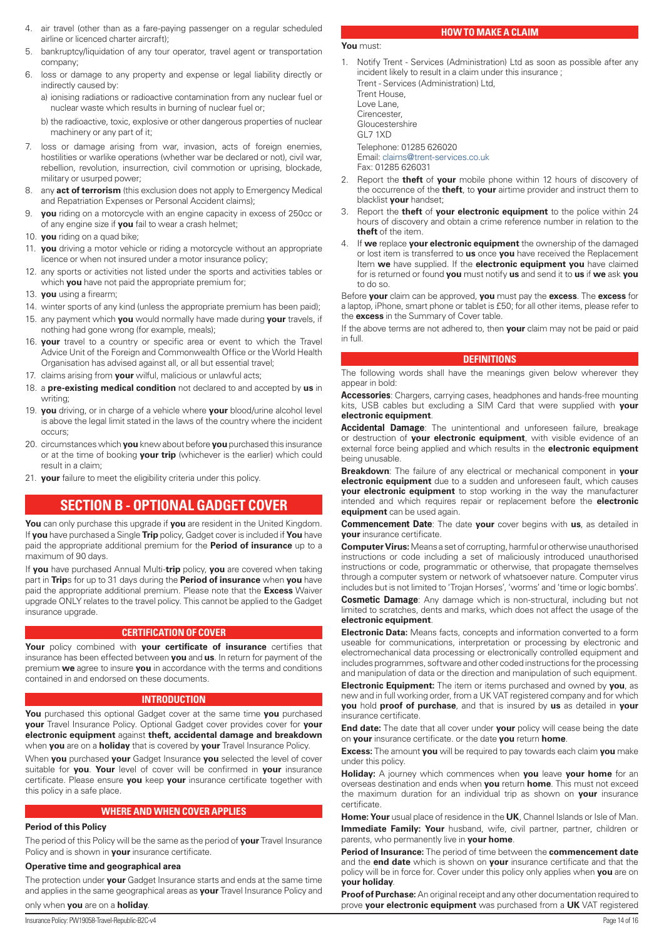- <span id="page-13-0"></span>4. air travel (other than as a fare-paying passenger on a regular scheduled airline or licenced charter aircraft);
- 5. bankruptcy/liquidation of any tour operator, travel agent or transportation company;
- 6. loss or damage to any property and expense or legal liability directly or indirectly caused by:
	- a) ionising radiations or radioactive contamination from any nuclear fuel or nuclear waste which results in burning of nuclear fuel or;
	- b) the radioactive, toxic, explosive or other dangerous properties of nuclear machinery or any part of it;
- 7. loss or damage arising from war, invasion, acts of foreign enemies, hostilities or warlike operations (whether war be declared or not), civil war, rebellion, revolution, insurrection, civil commotion or uprising, blockade, military or usurped power;
- 8. any **act of terrorism** (this exclusion does not apply to Emergency Medical and Repatriation Expenses or Personal Accident claims);
- 9. **you** riding on a motorcycle with an engine capacity in excess of 250cc or of any engine size if **you** fail to wear a crash helmet;
- 10. **you** riding on a quad bike;
- 11. **you** driving a motor vehicle or riding a motorcycle without an appropriate licence or when not insured under a motor insurance policy;
- 12. any sports or activities not listed under the sports and activities tables or which **you** have not paid the appropriate premium for;
- 13. **you** using a firearm;
- 14. winter sports of any kind (unless the appropriate premium has been paid); 15. any payment which **you** would normally have made during **your** travels, if nothing had gone wrong (for example, meals);
- 16. **your** travel to a country or specific area or event to which the Travel Advice Unit of the Foreign and Commonwealth Office or the World Health Organisation has advised against all, or all but essential travel;
- 17. claims arising from **your** wilful, malicious or unlawful acts;
- 18. a **pre-existing medical condition** not declared to and accepted by **us** in writing;
- 19. **you** driving, or in charge of a vehicle where **your** blood/urine alcohol level is above the legal limit stated in the laws of the country where the incident occurs;
- 20. circumstances which **you** knew about before **you** purchased this insurance or at the time of booking **your trip** (whichever is the earlier) which could result in a claim;
- 21. **your** failure to meet the eligibility criteria under this policy.

# **SECTION B - OPTIONAL GADGET COVER**

**You** can only purchase this upgrade if **you** are resident in the United Kingdom. If **you** have purchased a Single **Trip** policy, Gadget cover is included if **You** have paid the appropriate additional premium for the **Period of insurance** up to a maximum of 90 days.

If **you** have purchased Annual Multi-**trip** policy, **you** are covered when taking part in **Trip**s for up to 31 days during the **Period of insurance** when **you** have paid the appropriate additional premium. Please note that the **Excess** Waiver upgrade ONLY relates to the travel policy. This cannot be applied to the Gadget insurance upgrade.

# **CERTIFICATION OF COVER**

**Your** policy combined with **your certificate of insurance** certifies that insurance has been effected between **you** and **us**. In return for payment of the premium **we** agree to insure **you** in accordance with the terms and conditions contained in and endorsed on these documents.

# **INTRODUCTION**

**You** purchased this optional Gadget cover at the same time **you** purchased **your** Travel Insurance Policy. Optional Gadget cover provides cover for **your electronic equipment** against **theft, accidental damage and breakdown**  when **you** are on a **holiday** that is covered by **your** Travel Insurance Policy.

When **you** purchased **your** Gadget Insurance **you** selected the level of cover suitable for **you**. **Your** level of cover will be confirmed in **your** insurance certificate. Please ensure **you** keep **your** insurance certificate together with this policy in a safe place.

# **WHERE AND WHEN COVER APPLIES**

# **Period of this Policy**

The period of this Policy will be the same as the period of **your** Travel Insurance Policy and is shown in **your** insurance certificate.

# **Operative time and geographical area**

The protection under **your** Gadget Insurance starts and ends at the same time and applies in the same geographical areas as **your** Travel Insurance Policy and

# only when **you** are on a **holiday**.

# **HOW TO MAKE A CLAIM**

## **You** must:

1. Notify Trent - Services (Administration) Ltd as soon as possible after any incident likely to result in a claim under this insurance ; Trent - Services (Administration) Ltd, Trent House, Love Lane, **Cirencester** Gloucestershire GL7 1XD Telephone: 01285 626020 Email: [claims@trent-services.co.uk](mailto:claims@trent-services.co.uk)

Fax: 01285 626031

- 2. Report the **theft** of **your** mobile phone within 12 hours of discovery of the occurrence of the **theft**, to **your** airtime provider and instruct them to blacklist **your** handset;
- 3. Report the **theft** of **your electronic equipment** to the police within 24 hours of discovery and obtain a crime reference number in relation to the **theft** of the item.
- 4. If **we** replace **your electronic equipment** the ownership of the damaged or lost item is transferred to **us** once **you** have received the Replacement Item **we** have supplied. If the **electronic equipment you** have claimed for is returned or found **you** must notify **us** and send it to **us** if **we** ask **you** to do so.

Before **your** claim can be approved, **you** must pay the **excess**. The **excess** for a laptop, iPhone, smart phone or tablet is £50; for all other items, please refer to the **excess** in the Summary of Cover table.

If the above terms are not adhered to, then **your** claim may not be paid or paid in full.

# **DEFINITIONS**

The following words shall have the meanings given below wherever they appear in bold:

**Accessories**: Chargers, carrying cases, headphones and hands-free mounting kits, USB cables but excluding a SIM Card that were supplied with **your electronic equipment**.

**Accidental Damage**: The unintentional and unforeseen failure, breakage or destruction of **your electronic equipment**, with visible evidence of an external force being applied and which results in the **electronic equipment** being unusable.

**Breakdown**: The failure of any electrical or mechanical component in **your electronic equipment** due to a sudden and unforeseen fault, which causes **your electronic equipment** to stop working in the way the manufacturer intended and which requires repair or replacement before the **electronic equipment** can be used again.

**Commencement Date**: The date **your** cover begins with **us**, as detailed in **your** insurance certificate.

**Computer Virus:** Means a set of corrupting, harmful or otherwise unauthorised instructions or code including a set of maliciously introduced unauthorised instructions or code, programmatic or otherwise, that propagate themselves through a computer system or network of whatsoever nature. Computer virus includes but is not limited to 'Trojan Horses', 'worms' and 'time or logic bombs'.

**Cosmetic Damage**: Any damage which is non-structural, including but not limited to scratches, dents and marks, which does not affect the usage of the **electronic equipment**.

**Electronic Data:** Means facts, concepts and information converted to a form useable for communications, interpretation or processing by electronic and electromechanical data processing or electronically controlled equipment and includes programmes, software and other coded instructions for the processing and manipulation of data or the direction and manipulation of such equipment.

**Electronic Equipment:** The item or items purchased and owned by **you**, as new and in full working order, from a UK VAT registered company and for which **you** hold **proof of purchase**, and that is insured by **us** as detailed in **your** insurance certificate.

**End date:** The date that all cover under **your** policy will cease being the date on **your** insurance certificate. or the date **you** return **home**.

**Excess:** The amount **you** will be required to pay towards each claim **you** make under this policy.

**Holiday:** A journey which commences when **you** leave **your home** for an overseas destination and ends when **you** return **home**. This must not exceed the maximum duration for an individual trip as shown on **your** insurance certificate.

**Home: Your** usual place of residence in the **UK**, Channel Islands or Isle of Man. **Immediate Family: Your** husband, wife, civil partner, partner, children or parents, who permanently live in **your home**.

**Period of Insurance:** The period of time between the **commencement date** and the **end date** which is shown on **your** insurance certificate and that the policy will be in force for. Cover under this policy only applies when **you** are on **your holiday**.

**Proof of Purchase:** An original receipt and any other documentation required to prove **your electronic equipment** was purchased from a **UK** VAT registered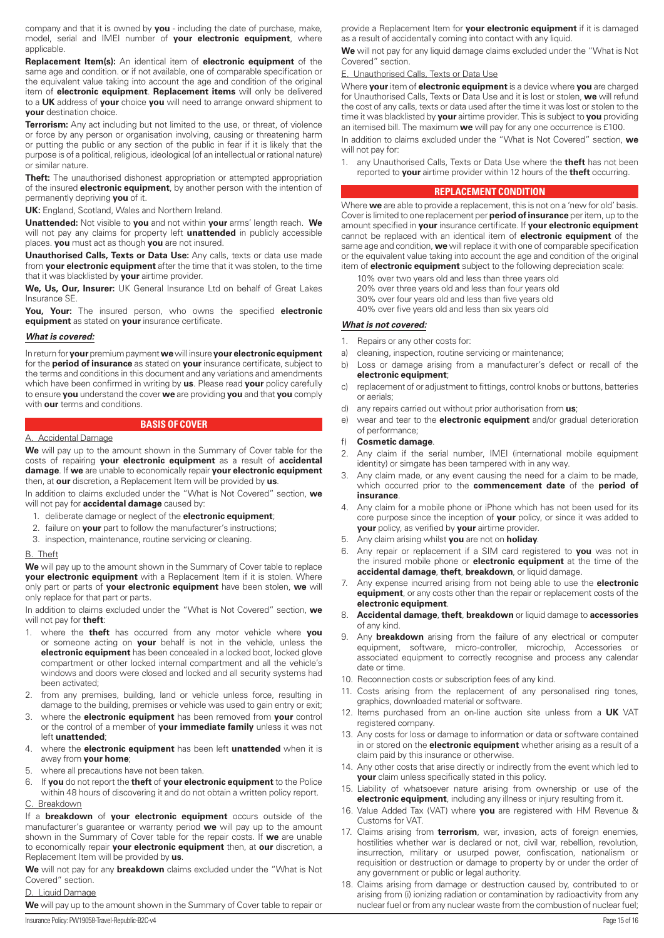company and that it is owned by **you** - including the date of purchase, make, model, serial and IMEI number of **your electronic equipment**, where applicable.

**Replacement Item(s):** An identical item of **electronic equipment** of the same age and condition. or if not available, one of comparable specification or the equivalent value taking into account the age and condition of the original item of **electronic equipment**. **Replacement items** will only be delivered to a **UK** address of **your** choice **you** will need to arrange onward shipment to **your** destination choice.

**Terrorism:** Any act including but not limited to the use, or threat, of violence or force by any person or organisation involving, causing or threatening harm or putting the public or any section of the public in fear if it is likely that the purpose is of a political, religious, ideological (of an intellectual or rational nature) or similar nature.

**Theft:** The unauthorised dishonest appropriation or attempted appropriation of the insured **electronic equipment**, by another person with the intention of permanently depriving **you** of it.

**UK:** England, Scotland, Wales and Northern Ireland.

**Unattended:** Not visible to **you** and not within **your** arms' length reach. **We** will not pay any claims for property left **unattended** in publicly accessible places. **you** must act as though **you** are not insured.

**Unauthorised Calls, Texts or Data Use:** Any calls, texts or data use made from **your electronic equipment** after the time that it was stolen, to the time that it was blacklisted by **your** airtime provider.

**We, Us, Our, Insurer:** UK General Insurance Ltd on behalf of Great Lakes Insurance SE.

**You, Your:** The insured person, who owns the specified **electronic equipment** as stated on **your** insurance certificate.

## *What is covered:*

In return for **your** premium payment **we** will insure **yourelectronic equipment** for the **period of insurance** as stated on **your** insurance certificate, subject to the terms and conditions in this document and any variations and amendments which have been confirmed in writing by **us**. Please read **your** policy carefully to ensure **you** understand the cover **we** are providing **you** and that **you** comply with **our** terms and conditions.

# **BASIS OF COVER**

#### A. Accidental Damage

**We** will pay up to the amount shown in the Summary of Cover table for the costs of repairing **your electronic equipment** as a result of **accidental damage**. If **we** are unable to economically repair **your electronic equipment** then, at **our** discretion, a Replacement Item will be provided by **us**.

In addition to claims excluded under the "What is Not Covered" section, **we** will not pay for **accidental damage** caused by:

- 1. deliberate damage or neglect of the **electronic equipment**;
- 2. failure on **your** part to follow the manufacturer's instructions;
- 3. inspection, maintenance, routine servicing or cleaning.

# B. Theft

**We** will pay up to the amount shown in the Summary of Cover table to replace **your electronic equipment** with a Replacement Item if it is stolen. Where only part or parts of **your electronic equipment** have been stolen, **we** will only replace for that part or parts.

In addition to claims excluded under the "What is Not Covered" section, **we** will not pay for **theft**:

- 1. where the **theft** has occurred from any motor vehicle where **you** or someone acting on **your** behalf is not in the vehicle, unless the **electronic equipment** has been concealed in a locked boot, locked glove compartment or other locked internal compartment and all the vehicle's windows and doors were closed and locked and all security systems had been activated;
- 2. from any premises, building, land or vehicle unless force, resulting in damage to the building, premises or vehicle was used to gain entry or exit;
- 3. where the **electronic equipment** has been removed from **your** control or the control of a member of **your immediate family** unless it was not left **unattended**;
- 4. where the **electronic equipment** has been left **unattended** when it is away from **your home**;
- 5. where all precautions have not been taken.
- 6. If **you** do not report the **theft** of **your electronic equipment** to the Police within 48 hours of discovering it and do not obtain a written policy report.

# C. Breakdown

If a **breakdown** of **your electronic equipment** occurs outside of the manufacturer's guarantee or warranty period **we** will pay up to the amount shown in the Summary of Cover table for the repair costs. If **we** are unable to economically repair **your electronic equipment** then, at **our** discretion, a Replacement Item will be provided by **us**.

**We** will not pay for any **breakdown** claims excluded under the "What is Not Covered" section.

## D. Liquid Damage

**We** will pay up to the amount shown in the Summary of Cover table to repair or

provide a Replacement Item for **your electronic equipment** if it is damaged as a result of accidentally coming into contact with any liquid.

**We** will not pay for any liquid damage claims excluded under the "What is Not Covered" section.

#### **Unauthorised Calls, Texts or Data Use**

Where **your** item of **electronic equipment** is a device where **you** are charged for Unauthorised Calls, Texts or Data Use and it is lost or stolen, **we** will refund the cost of any calls, texts or data used after the time it was lost or stolen to the time it was blacklisted by **your** airtime provider. This is subject to **you** providing an itemised bill. The maximum **we** will pay for any one occurrence is £100.

In addition to claims excluded under the "What is Not Covered" section, **we** will not pay for:

1. any Unauthorised Calls, Texts or Data Use where the **theft** has not been reported to **your** airtime provider within 12 hours of the **theft** occurring.

## **REPLACEMENT CONDITION**

Where **we** are able to provide a replacement, this is not on a 'new for old' basis. Cover is limited to one replacement per **period of insurance** per item, up to the amount specified in **your** insurance certificate. If **your electronic equipment** cannot be replaced with an identical item of **electronic equipment** of the same age and condition, **we** will replace it with one of comparable specification or the equivalent value taking into account the age and condition of the original item of **electronic equipment** subject to the following depreciation scale:

- 10% over two years old and less than three years old
- 20% over three years old and less than four years old
- 30% over four years old and less than five years old
- 40% over five years old and less than six years old

# *What is not covered:*

- 1. Repairs or any other costs for:
- a) cleaning, inspection, routine servicing or maintenance;
- b) Loss or damage arising from a manufacturer's defect or recall of the **electronic equipment**;
- c) replacement of or adjustment to fittings, control knobs or buttons, batteries or aerials;
- d) any repairs carried out without prior authorisation from **us**;
- e) wear and tear to the **electronic equipment** and/or gradual deterioration of performance;
- f) **Cosmetic damage**.
- 2. Any claim if the serial number, IMEI (international mobile equipment identity) or simgate has been tampered with in any way.
- 3. Any claim made, or any event causing the need for a claim to be made, which occurred prior to the **commencement date** of the **period of insurance**.
- 4. Any claim for a mobile phone or iPhone which has not been used for its core purpose since the inception of **your** policy, or since it was added to **your** policy, as verified by **your** airtime provider.
- 5. Any claim arising whilst **you** are not on **holiday**.
- 6. Any repair or replacement if a SIM card registered to **you** was not in the insured mobile phone or **electronic equipment** at the time of the **accidental damage**, **theft**, **breakdown**, or liquid damage.
- 7. Any expense incurred arising from not being able to use the **electronic equipment**, or any costs other than the repair or replacement costs of the **electronic equipment**.
- 8. **Accidental damage**, **theft**, **breakdown** or liquid damage to **accessories** of any kind.
- Any **breakdown** arising from the failure of any electrical or computer equipment, software, micro-controller, microchip, Accessories or associated equipment to correctly recognise and process any calendar date or time.
- 10. Reconnection costs or subscription fees of any kind.
- 11. Costs arising from the replacement of any personalised ring tones, graphics, downloaded material or software.
- 12. Items purchased from an on-line auction site unless from a **UK** VAT registered company.
- 13. Any costs for loss or damage to information or data or software contained in or stored on the **electronic equipment** whether arising as a result of a claim paid by this insurance or otherwise.
- 14. Any other costs that arise directly or indirectly from the event which led to **your** claim unless specifically stated in this policy.
- 15. Liability of whatsoever nature arising from ownership or use of the **electronic equipment**, including any illness or injury resulting from it.
- 16. Value Added Tax (VAT) where **you** are registered with HM Revenue & Customs for VAT.
- 17. Claims arising from **terrorism**, war, invasion, acts of foreign enemies, hostilities whether war is declared or not, civil war, rebellion, revolution, insurrection, military or usurped power, confiscation, nationalism or requisition or destruction or damage to property by or under the order of any government or public or legal authority.
- 18. Claims arising from damage or destruction caused by, contributed to or arising from (i) ionizing radiation or contamination by radioactivity from any nuclear fuel or from any nuclear waste from the combustion of nuclear fuel;